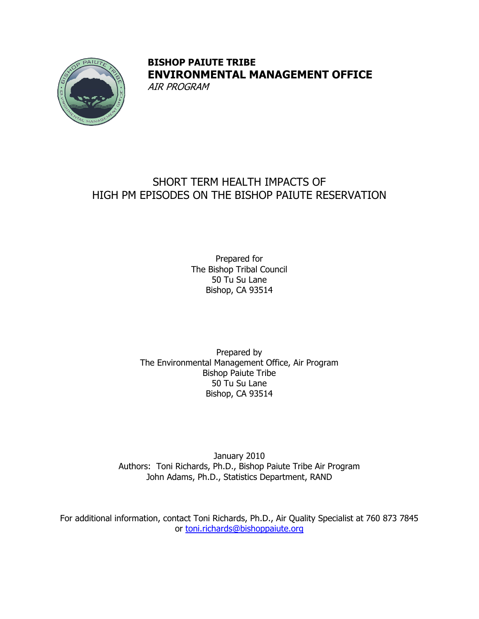

## **BISHOP PAIUTE TRIBE ENVIRONMENTAL MANAGEMENT OFFICE**  AIR PROGRAM

# SHORT TERM HEALTH IMPACTS OF HIGH PM EPISODES ON THE BISHOP PAIUTE RESERVATION

Prepared for The Bishop Tribal Council 50 Tu Su Lane Bishop, CA 93514

Prepared by The Environmental Management Office, Air Program Bishop Paiute Tribe 50 Tu Su Lane Bishop, CA 93514

January 2010 Authors: Toni Richards, Ph.D., Bishop Paiute Tribe Air Program John Adams, Ph.D., Statistics Department, RAND

For additional information, contact Toni Richards, Ph.D., Air Quality Specialist at 760 873 7845 or [toni.richards@bishoppaiute.org](mailto:toni.richards@bishoppaiute.org)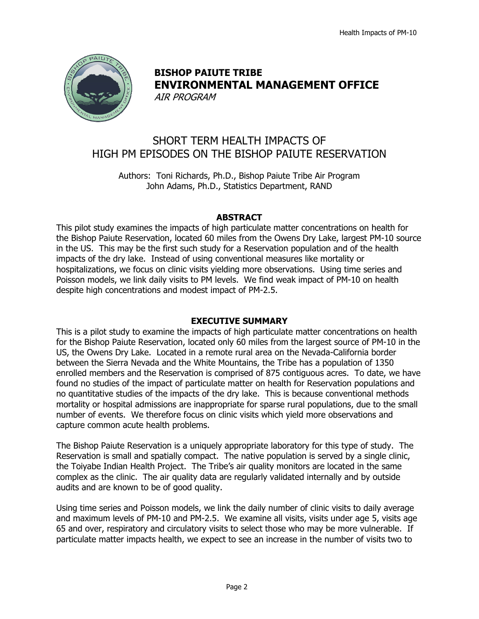

## **BISHOP PAIUTE TRIBE ENVIRONMENTAL MANAGEMENT OFFICE**  AIR PROGRAM

SHORT TERM HEALTH IMPACTS OF HIGH PM EPISODES ON THE BISHOP PAIUTE RESERVATION

Authors: Toni Richards, Ph.D., Bishop Paiute Tribe Air Program John Adams, Ph.D., Statistics Department, RAND

## **ABSTRACT**

This pilot study examines the impacts of high particulate matter concentrations on health for the Bishop Paiute Reservation, located 60 miles from the Owens Dry Lake, largest PM-10 source in the US. This may be the first such study for a Reservation population and of the health impacts of the dry lake. Instead of using conventional measures like mortality or hospitalizations, we focus on clinic visits yielding more observations. Using time series and Poisson models, we link daily visits to PM levels. We find weak impact of PM-10 on health despite high concentrations and modest impact of PM-2.5.

## **EXECUTIVE SUMMARY**

This is a pilot study to examine the impacts of high particulate matter concentrations on health for the Bishop Paiute Reservation, located only 60 miles from the largest source of PM-10 in the US, the Owens Dry Lake. Located in a remote rural area on the Nevada-California border between the Sierra Nevada and the White Mountains, the Tribe has a population of 1350 enrolled members and the Reservation is comprised of 875 contiguous acres. To date, we have found no studies of the impact of particulate matter on health for Reservation populations and no quantitative studies of the impacts of the dry lake. This is because conventional methods mortality or hospital admissions are inappropriate for sparse rural populations, due to the small number of events. We therefore focus on clinic visits which yield more observations and capture common acute health problems.

The Bishop Paiute Reservation is a uniquely appropriate laboratory for this type of study. The Reservation is small and spatially compact. The native population is served by a single clinic, the Toiyabe Indian Health Project. The Tribe's air quality monitors are located in the same complex as the clinic. The air quality data are regularly validated internally and by outside audits and are known to be of good quality.

Using time series and Poisson models, we link the daily number of clinic visits to daily average and maximum levels of PM-10 and PM-2.5. We examine all visits, visits under age 5, visits age 65 and over, respiratory and circulatory visits to select those who may be more vulnerable. If particulate matter impacts health, we expect to see an increase in the number of visits two to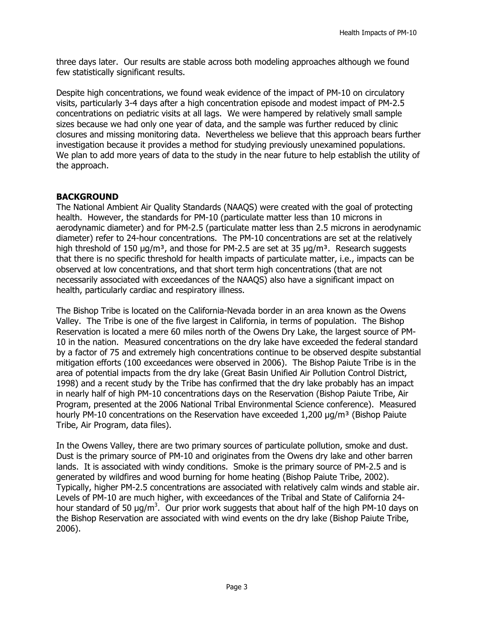three days later. Our results are stable across both modeling approaches although we found few statistically significant results.

Despite high concentrations, we found weak evidence of the impact of PM-10 on circulatory visits, particularly 3-4 days after a high concentration episode and modest impact of PM-2.5 concentrations on pediatric visits at all lags. We were hampered by relatively small sample sizes because we had only one year of data, and the sample was further reduced by clinic closures and missing monitoring data. Nevertheless we believe that this approach bears further investigation because it provides a method for studying previously unexamined populations. We plan to add more years of data to the study in the near future to help establish the utility of the approach.

#### **BACKGROUND**

The National Ambient Air Quality Standards (NAAQS) were created with the goal of protecting health. However, the standards for PM-10 (particulate matter less than 10 microns in aerodynamic diameter) and for PM-2.5 (particulate matter less than 2.5 microns in aerodynamic diameter) refer to 24-hour concentrations. The PM-10 concentrations are set at the relatively high threshold of 150  $\mu$ g/m<sup>3</sup>, and those for PM-2.5 are set at 35  $\mu$ g/m<sup>3</sup>. Research suggests that there is no specific threshold for health impacts of particulate matter, i.e., impacts can be observed at low concentrations, and that short term high concentrations (that are not necessarily associated with exceedances of the NAAQS) also have a significant impact on health, particularly cardiac and respiratory illness.

The Bishop Tribe is located on the California-Nevada border in an area known as the Owens Valley. The Tribe is one of the five largest in California, in terms of population. The Bishop Reservation is located a mere 60 miles north of the Owens Dry Lake, the largest source of PM-10 in the nation. Measured concentrations on the dry lake have exceeded the federal standard by a factor of 75 and extremely high concentrations continue to be observed despite substantial mitigation efforts (100 exceedances were observed in 2006). The Bishop Paiute Tribe is in the area of potential impacts from the dry lake (Great Basin Unified Air Pollution Control District, 1998) and a recent study by the Tribe has confirmed that the dry lake probably has an impact in nearly half of high PM-10 concentrations days on the Reservation (Bishop Paiute Tribe, Air Program, presented at the 2006 National Tribal Environmental Science conference). Measured hourly PM-10 concentrations on the Reservation have exceeded  $1,200$   $\mu q/m<sup>3</sup>$  (Bishop Paiute Tribe, Air Program, data files).

In the Owens Valley, there are two primary sources of particulate pollution, smoke and dust. Dust is the primary source of PM-10 and originates from the Owens dry lake and other barren lands. It is associated with windy conditions. Smoke is the primary source of PM-2.5 and is generated by wildfires and wood burning for home heating (Bishop Paiute Tribe, 2002). Typically, higher PM-2.5 concentrations are associated with relatively calm winds and stable air. Levels of PM-10 are much higher, with exceedances of the Tribal and State of California 24 hour standard of 50  $\mu$ g/m<sup>3</sup>. Our prior work suggests that about half of the high PM-10 days on the Bishop Reservation are associated with wind events on the dry lake (Bishop Paiute Tribe, 2006).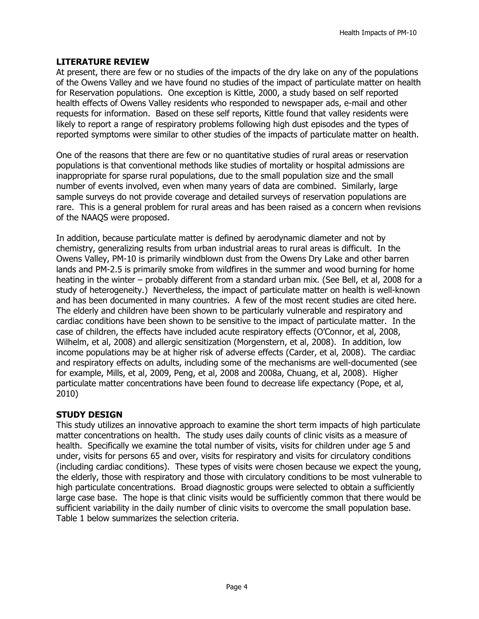#### **LITERATURE REVIEW**

At present, there are few or no studies of the impacts of the dry lake on any of the populations of the Owens Valley and we have found no studies of the impact of particulate matter on health for Reservation populations. One exception is Kittle, 2000, a study based on self reported health effects of Owens Valley residents who responded to newspaper ads, e-mail and other requests for information. Based on these self reports, Kittle found that valley residents were likely to report a range of respiratory problems following high dust episodes and the types of reported symptoms were similar to other studies of the impacts of particulate matter on health.

One of the reasons that there are few or no quantitative studies of rural areas or reservation populations is that conventional methods like studies of mortality or hospital admissions are inappropriate for sparse rural populations, due to the small population size and the small number of events involved, even when many years of data are combined. Similarly, large sample surveys do not provide coverage and detailed surveys of reservation populations are rare. This is a general problem for rural areas and has been raised as a concern when revisions of the NAAQS were proposed.

In addition, because particulate matter is defined by aerodynamic diameter and not by chemistry, generalizing results from urban industrial areas to rural areas is difficult. In the Owens Valley, PM-10 is primarily windblown dust from the Owens Dry Lake and other barren lands and PM-2.5 is primarily smoke from wildfires in the summer and wood burning for home heating in the winter – probably different from a standard urban mix. (See Bell, et al, 2008 for a study of heterogeneity.) Nevertheless, the impact of particulate matter on health is well-known and has been documented in many countries. A few of the most recent studies are cited here. The elderly and children have been shown to be particularly vulnerable and respiratory and cardiac conditions have been shown to be sensitive to the impact of particulate matter. In the case of children, the effects have included acute respiratory effects (O'Connor, et al, 2008, Wilhelm, et al, 2008) and allergic sensitization (Morgenstern, et al, 2008). In addition, low income populations may be at higher risk of adverse effects (Carder, et al, 2008). The cardiac and respiratory effects on adults, including some of the mechanisms are well-documented (see for example, Mills, et al, 2009, Peng, et al, 2008 and 2008a, Chuang, et al, 2008). Higher particulate matter concentrations have been found to decrease life expectancy (Pope, et al, 2010)

## **STUDY DESIGN**

This study utilizes an innovative approach to examine the short term impacts of high particulate matter concentrations on health. The study uses daily counts of clinic visits as a measure of health. Specifically we examine the total number of visits, visits for children under age 5 and under, visits for persons 65 and over, visits for respiratory and visits for circulatory conditions (including cardiac conditions). These types of visits were chosen because we expect the young, the elderly, those with respiratory and those with circulatory conditions to be most vulnerable to high particulate concentrations. Broad diagnostic groups were selected to obtain a sufficiently large case base. The hope is that clinic visits would be sufficiently common that there would be sufficient variability in the daily number of clinic visits to overcome the small population base. Table 1 below summarizes the selection criteria.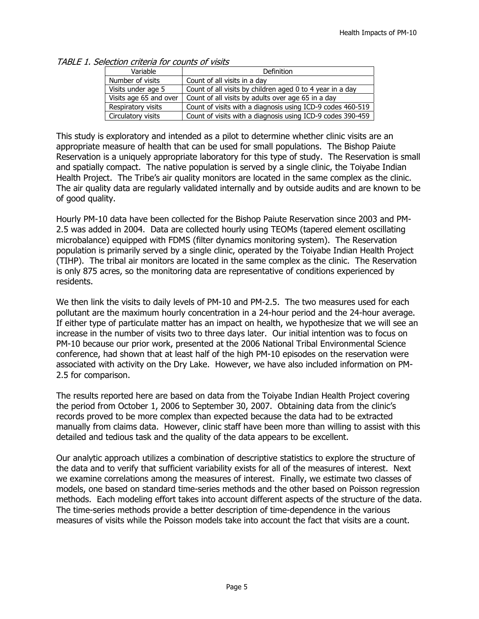| Variable               | Definition                                                 |
|------------------------|------------------------------------------------------------|
| Number of visits       | Count of all visits in a day                               |
| Visits under age 5     | Count of all visits by children aged 0 to 4 year in a day  |
| Visits age 65 and over | Count of all visits by adults over age 65 in a day         |
| Respiratory visits     | Count of visits with a diagnosis using ICD-9 codes 460-519 |
| Circulatory visits     | Count of visits with a diagnosis using ICD-9 codes 390-459 |

TABLE 1. Selection criteria for counts of visits

This study is exploratory and intended as a pilot to determine whether clinic visits are an appropriate measure of health that can be used for small populations. The Bishop Paiute Reservation is a uniquely appropriate laboratory for this type of study. The Reservation is small and spatially compact. The native population is served by a single clinic, the Toiyabe Indian Health Project. The Tribe's air quality monitors are located in the same complex as the clinic. The air quality data are regularly validated internally and by outside audits and are known to be of good quality.

Hourly PM-10 data have been collected for the Bishop Paiute Reservation since 2003 and PM-2.5 was added in 2004. Data are collected hourly using TEOMs (tapered element oscillating microbalance) equipped with FDMS (filter dynamics monitoring system). The Reservation population is primarily served by a single clinic, operated by the Toiyabe Indian Health Project (TIHP). The tribal air monitors are located in the same complex as the clinic. The Reservation is only 875 acres, so the monitoring data are representative of conditions experienced by residents.

We then link the visits to daily levels of PM-10 and PM-2.5. The two measures used for each pollutant are the maximum hourly concentration in a 24-hour period and the 24-hour average. If either type of particulate matter has an impact on health, we hypothesize that we will see an increase in the number of visits two to three days later. Our initial intention was to focus on PM-10 because our prior work, presented at the 2006 National Tribal Environmental Science conference, had shown that at least half of the high PM-10 episodes on the reservation were associated with activity on the Dry Lake. However, we have also included information on PM-2.5 for comparison.

The results reported here are based on data from the Toiyabe Indian Health Project covering the period from October 1, 2006 to September 30, 2007. Obtaining data from the clinic's records proved to be more complex than expected because the data had to be extracted manually from claims data. However, clinic staff have been more than willing to assist with this detailed and tedious task and the quality of the data appears to be excellent.

Our analytic approach utilizes a combination of descriptive statistics to explore the structure of the data and to verify that sufficient variability exists for all of the measures of interest. Next we examine correlations among the measures of interest. Finally, we estimate two classes of models, one based on standard time-series methods and the other based on Poisson regression methods. Each modeling effort takes into account different aspects of the structure of the data. The time-series methods provide a better description of time-dependence in the various measures of visits while the Poisson models take into account the fact that visits are a count.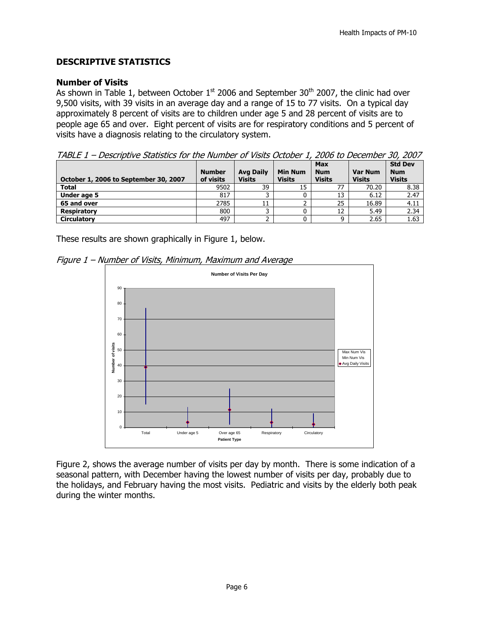## **DESCRIPTIVE STATISTICS**

#### **Number of Visits**

As shown in Table 1, between October  $1<sup>st</sup>$  2006 and September 30<sup>th</sup> 2007, the clinic had over 9,500 visits, with 39 visits in an average day and a range of 15 to 77 visits. On a typical day approximately 8 percent of visits are to children under age 5 and 28 percent of visits are to people age 65 and over. Eight percent of visits are for respiratory conditions and 5 percent of visits have a diagnosis relating to the circulatory system.

|  |  | TABLE 1 – Descriptive Statistics for the Number of Visits October 1, 2006 to December 30, 2007 |  |
|--|--|------------------------------------------------------------------------------------------------|--|
|  |  |                                                                                                |  |

|                                       | <b>Number</b> | <b>Avg Daily</b> | <b>Min Num</b> | <b>Max</b><br><b>Num</b> | <b>Var Num</b> | <b>Std Dev</b><br><b>Num</b> |
|---------------------------------------|---------------|------------------|----------------|--------------------------|----------------|------------------------------|
| October 1, 2006 to September 30, 2007 | of visits     | <b>Visits</b>    | <b>Visits</b>  | <b>Visits</b>            | <b>Visits</b>  | <b>Visits</b>                |
| <b>Total</b>                          | 9502          | 39               | 15             | 77                       | 70.20          | 8.38                         |
| Under age 5                           | 817           |                  |                | 13                       | 6.12           | 2.47                         |
| 65 and over                           | 2785          | 11               |                | 25                       | 16.89          | 4.11                         |
| <b>Respiratory</b>                    | 800           |                  |                | 12                       | 5.49           | 2.34                         |
| <b>Circulatory</b>                    | 497           |                  |                | a                        | 2.65           | 1.63                         |

These results are shown graphically in Figure 1, below.

Figure 1 – Number of Visits, Minimum, Maximum and Average



Figure 2, shows the average number of visits per day by month. There is some indication of a seasonal pattern, with December having the lowest number of visits per day, probably due to the holidays, and February having the most visits. Pediatric and visits by the elderly both peak during the winter months.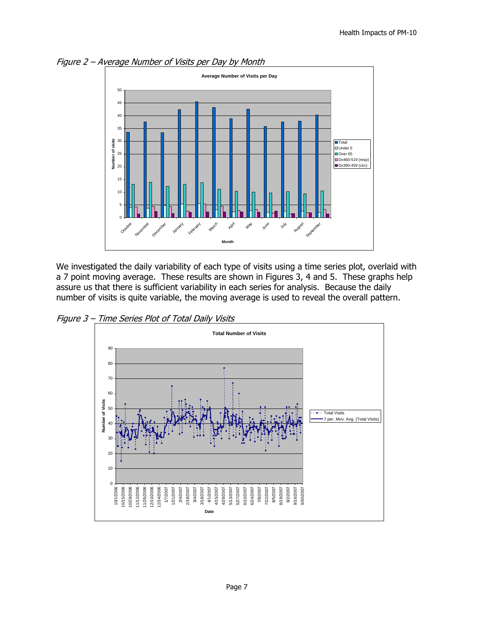

Figure 2 – Average Number of Visits per Day by Month

We investigated the daily variability of each type of visits using a time series plot, overlaid with a 7 point moving average. These results are shown in Figures 3, 4 and 5. These graphs help assure us that there is sufficient variability in each series for analysis. Because the daily number of visits is quite variable, the moving average is used to reveal the overall pattern.

Figure 3 – Time Series Plot of Total Daily Visits

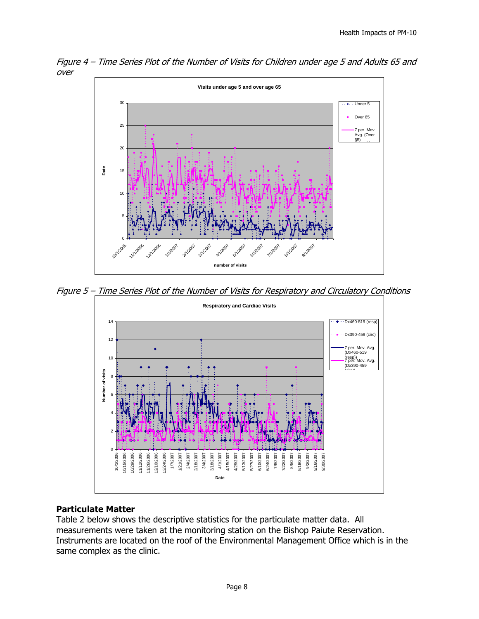

Figure 4 – Time Series Plot of the Number of Visits for Children under age 5 and Adults 65 and over

Figure 5 – Time Series Plot of the Number of Visits for Respiratory and Circulatory Conditions



## **Particulate Matter**

Table 2 below shows the descriptive statistics for the particulate matter data. All measurements were taken at the monitoring station on the Bishop Paiute Reservation. Instruments are located on the roof of the Environmental Management Office which is in the same complex as the clinic.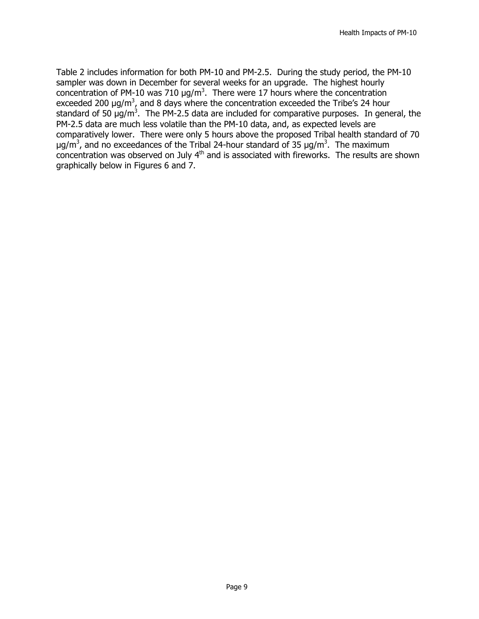Table 2 includes information for both PM-10 and PM-2.5. During the study period, the PM-10 sampler was down in December for several weeks for an upgrade. The highest hourly concentration of PM-10 was 710  $\mu$ g/m<sup>3</sup>. There were 17 hours where the concentration exceeded 200  $\mu$ g/m<sup>3</sup>, and 8 days where the concentration exceeded the Tribe's 24 hour standard of 50  $\mu$ g/m<sup>3</sup>. The PM-2.5 data are included for comparative purposes. In general, the PM-2.5 data are much less volatile than the PM-10 data, and, as expected levels are comparatively lower. There were only 5 hours above the proposed Tribal health standard of 70  $\mu$ g/m<sup>3</sup>, and no exceedances of the Tribal 24-hour standard of 35  $\mu$ g/m<sup>3</sup>. The maximum  $\frac{1}{2}$  concentration was observed on July  $4<sup>th</sup>$  and is associated with fireworks. The results are shown graphically below in Figures 6 and 7.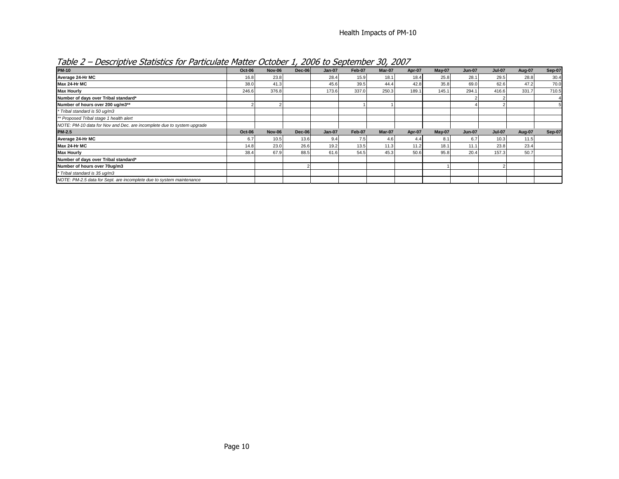| - - -<br>- - - - - -                                                   |        |               |          | - -           |        |        |        |          |               |               |        |               |
|------------------------------------------------------------------------|--------|---------------|----------|---------------|--------|--------|--------|----------|---------------|---------------|--------|---------------|
| <b>PM-10</b>                                                           | Oct-06 | <b>Nov-06</b> | $Dec-06$ | $Jan-07$      | Feb-07 | Mar-07 | Apr-07 | $May-07$ | <b>Jun-07</b> | <b>Jul-07</b> | Aug-07 | <b>Sep-07</b> |
| Average 24-Hr MC                                                       | 16.8   | 23.8          |          | 28.4          | 15.9   | 18.1   | 18.4   | 25.8     | 28.1          | 29.5          | 28.8   | 30.4          |
| Max 24-Hr MC                                                           | 38.0   | 41.3          |          | 45.6          | 39.5   | 44.4   | 42.8   | 35.8     | 69.0          | 62.6          | 47.2   | 70.0          |
| <b>Max Hourly</b>                                                      | 246.6  | 376.8         |          | 173.6         | 337.0  | 250.3  | 189.1  | 145.1    | 294.1         | 416.6         | 331.7  | 710.5         |
| Number of days over Tribal standard*                                   |        |               |          |               |        |        |        |          |               |               |        |               |
| Number of hours over 200 ug/m3**                                       |        |               |          |               |        |        |        |          |               |               |        |               |
| * Tribal standard is 50 ug/m3                                          |        |               |          |               |        |        |        |          |               |               |        |               |
| ** Proposed Tribal stage 1 health alert                                |        |               |          |               |        |        |        |          |               |               |        |               |
| NOTE: PM-10 data for Nov and Dec. are incomplete due to system upgrade |        |               |          |               |        |        |        |          |               |               |        |               |
| <b>PM-2.5</b>                                                          | Oct-06 | <b>Nov-06</b> | $Dec-06$ | <b>Jan-07</b> | Feb-07 | Mar-07 | Apr-07 | $May-07$ | <b>Jun-07</b> | <b>Jul-07</b> | Aug-07 | Sep-07        |
| Average 24-Hr MC                                                       | 6.7    | 10.5          | 13.6     | 9.4           | 7.5    | 4.6    | 4.4    | 8.1      | 6.7           | 10.3          | 11.5   |               |
| Max 24-Hr MC                                                           | 14.8   | 23.0          | 26.6     | 19.2          | 13.5   | 11.3   | 11.2   | 18.1     | 11.1          | 23.8          | 23.4   |               |
| <b>Max Hourly</b>                                                      | 38.4   | 67.9          | 88.5     | 61.6          | 54.5   | 45.3   | 50.6   | 95.8     | 20.4          | 157.3         | 50.7   |               |
| Number of days over Tribal standard*                                   |        |               |          |               |        |        |        |          |               |               |        |               |
| Number of hours over 70ug/m3                                           |        |               |          |               |        |        |        |          |               |               |        |               |
| * Tribal standard is 35 ug/m3                                          |        |               |          |               |        |        |        |          |               |               |        |               |
| NOTE: PM-2.5 data for Sept. are incomplete due to system maintenance   |        |               |          |               |        |        |        |          |               |               |        |               |

Table 2 – Descriptive Statistics for Particulate Matter October 1, 2006 to September 30, 2007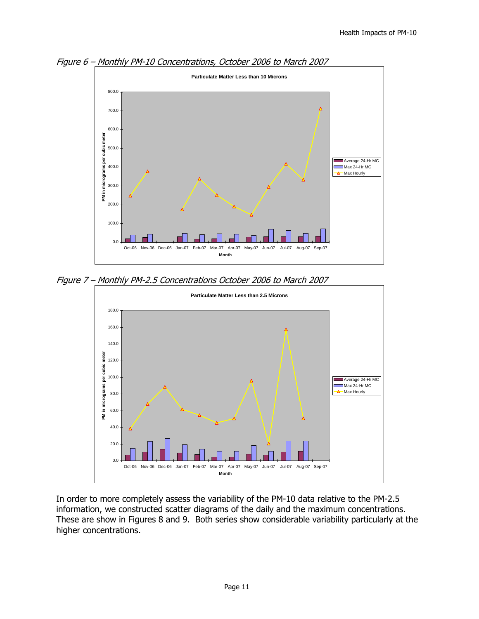

Figure 6 – Monthly PM-10 Concentrations, October 2006 to March 2007

Figure 7 – Monthly PM-2.5 Concentrations October 2006 to March 2007



In order to more completely assess the variability of the PM-10 data relative to the PM-2.5 information, we constructed scatter diagrams of the daily and the maximum concentrations. These are show in Figures 8 and 9. Both series show considerable variability particularly at the higher concentrations.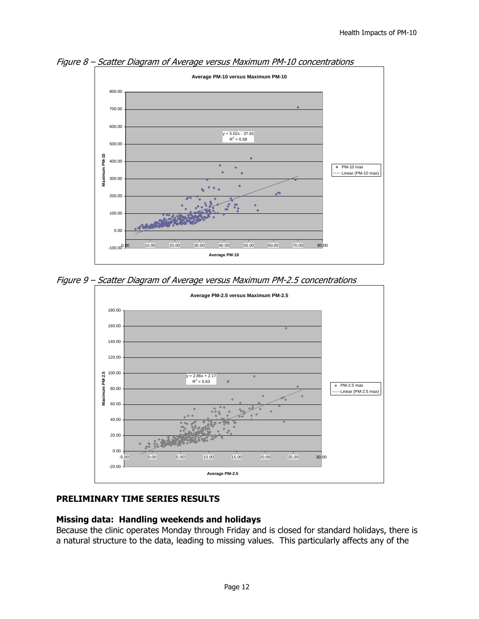

Figure 8 – Scatter Diagram of Average versus Maximum PM-10 concentrations

Figure 9 – Scatter Diagram of Average versus Maximum PM-2.5 concentrations



## **PRELIMINARY TIME SERIES RESULTS**

#### **Missing data: Handling weekends and holidays**

Because the clinic operates Monday through Friday and is closed for standard holidays, there is a natural structure to the data, leading to missing values. This particularly affects any of the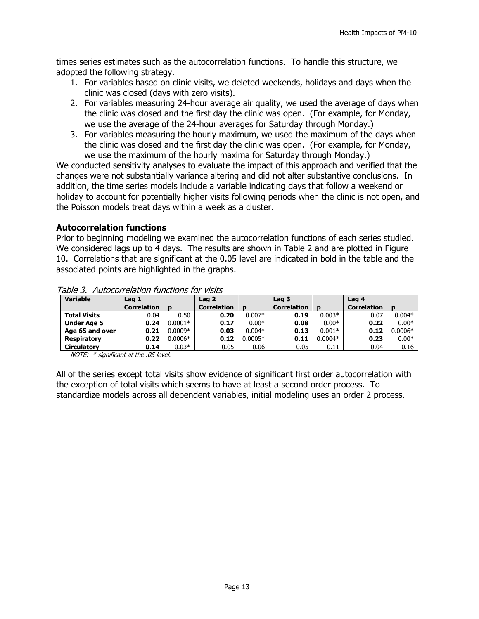times series estimates such as the autocorrelation functions. To handle this structure, we adopted the following strategy.

- 1. For variables based on clinic visits, we deleted weekends, holidays and days when the clinic was closed (days with zero visits).
- 2. For variables measuring 24-hour average air quality, we used the average of days when the clinic was closed and the first day the clinic was open. (For example, for Monday, we use the average of the 24-hour averages for Saturday through Monday.)
- 3. For variables measuring the hourly maximum, we used the maximum of the days when the clinic was closed and the first day the clinic was open. (For example, for Monday, we use the maximum of the hourly maxima for Saturday through Monday.)

We conducted sensitivity analyses to evaluate the impact of this approach and verified that the changes were not substantially variance altering and did not alter substantive conclusions. In addition, the time series models include a variable indicating days that follow a weekend or holiday to account for potentially higher visits following periods when the clinic is not open, and the Poisson models treat days within a week as a cluster.

#### **Autocorrelation functions**

Prior to beginning modeling we examined the autocorrelation functions of each series studied. We considered lags up to 4 days. The results are shown in Table 2 and are plotted in Figure 10. Correlations that are significant at the 0.05 level are indicated in bold in the table and the associated points are highlighted in the graphs.

| <b>Variable</b>     | Lag 1              |           | Lag 2              |           | Lag 3              |           | Lag 4              |           |
|---------------------|--------------------|-----------|--------------------|-----------|--------------------|-----------|--------------------|-----------|
|                     | <b>Correlation</b> |           | <b>Correlation</b> | D         | <b>Correlation</b> |           | <b>Correlation</b> | D         |
| <b>Total Visits</b> | 0.04               | 0.50      | 0.20               | $0.007*$  | 0.19               | $0.003*$  | 0.07               | $0.004*$  |
| <b>Under Age 5</b>  | 0.24               | $0.0001*$ | 0.17               | $0.00*$   | 0.08               | $0.00*$   | 0.22               | $0.00*$   |
| Age 65 and over     | 0.21               | $0.0009*$ | 0.03               | $0.004*$  | 0.13               | $0.001*$  | 0.12               | $0.0006*$ |
| <b>Respiratory</b>  | 0.22               | $0.0006*$ | 0.12               | $0.0005*$ | 0.11               | $0.0004*$ | 0.23               | $0.00*$   |
| <b>Circulatory</b>  | 0.14               | $0.03*$   | 0.05               | 0.06      | 0.05               | 0.11      | $-0.04$            | 0.16      |

Table 3. Autocorrelation functions for visits

NOTE: \* significant at the .05 level.

All of the series except total visits show evidence of significant first order autocorrelation with the exception of total visits which seems to have at least a second order process. To standardize models across all dependent variables, initial modeling uses an order 2 process.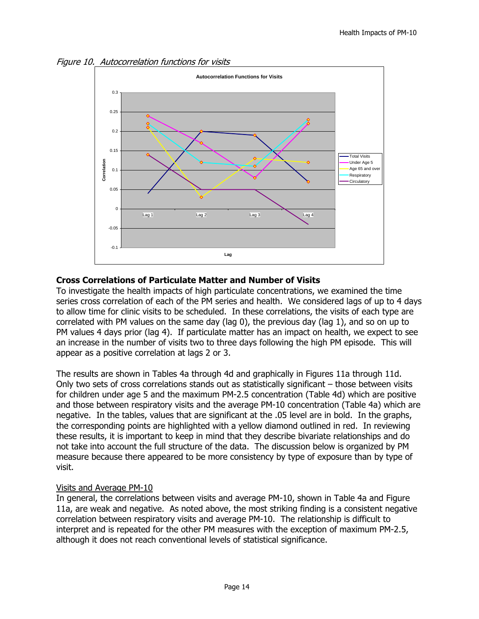Figure 10. Autocorrelation functions for visits



#### **Cross Correlations of Particulate Matter and Number of Visits**

To investigate the health impacts of high particulate concentrations, we examined the time series cross correlation of each of the PM series and health. We considered lags of up to 4 days to allow time for clinic visits to be scheduled. In these correlations, the visits of each type are correlated with PM values on the same day (lag 0), the previous day (lag 1), and so on up to PM values 4 days prior (lag 4). If particulate matter has an impact on health, we expect to see an increase in the number of visits two to three days following the high PM episode. This will appear as a positive correlation at lags 2 or 3.

The results are shown in Tables 4a through 4d and graphically in Figures 11a through 11d. Only two sets of cross correlations stands out as statistically significant – those between visits for children under age 5 and the maximum PM-2.5 concentration (Table 4d) which are positive and those between respiratory visits and the average PM-10 concentration (Table 4a) which are negative. In the tables, values that are significant at the .05 level are in bold. In the graphs, the corresponding points are highlighted with a yellow diamond outlined in red. In reviewing these results, it is important to keep in mind that they describe bivariate relationships and do not take into account the full structure of the data. The discussion below is organized by PM measure because there appeared to be more consistency by type of exposure than by type of visit.

#### Visits and Average PM-10

In general, the correlations between visits and average PM-10, shown in Table 4a and Figure 11a, are weak and negative. As noted above, the most striking finding is a consistent negative correlation between respiratory visits and average PM-10. The relationship is difficult to interpret and is repeated for the other PM measures with the exception of maximum PM-2.5, although it does not reach conventional levels of statistical significance.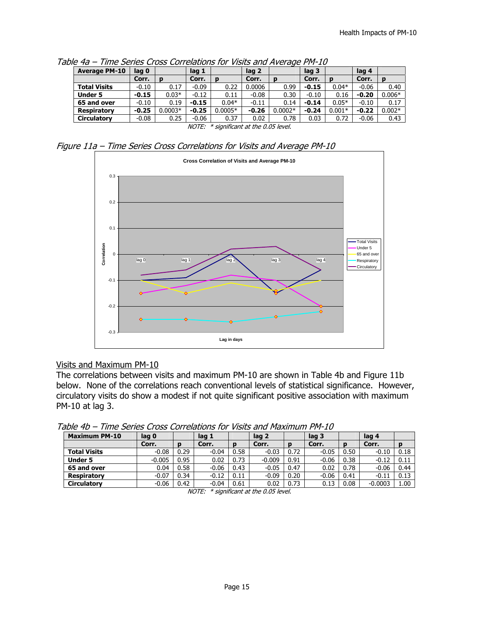| <b>Average PM-10</b> | lag 0   |          | lag 1   |           | lag 2   |           | lag 3   |          | lag 4   |          |
|----------------------|---------|----------|---------|-----------|---------|-----------|---------|----------|---------|----------|
|                      | Corr.   | D        | Corr.   | D         | Corr.   | D         | Corr.   | D        | Corr.   | D        |
| <b>Total Visits</b>  | $-0.10$ | 0.17     | $-0.09$ | 0.22      | 0.0006  | 0.99      | $-0.15$ | $0.04*$  | $-0.06$ | 0.40     |
| <b>Under 5</b>       | $-0.15$ | $0.03*$  | $-0.12$ | 0.11      | $-0.08$ | 0.30      | $-0.10$ | 0.16     | $-0.20$ | $0.006*$ |
| 65 and over          | $-0.10$ | 0.19     | $-0.15$ | $0.04*$   | $-0.11$ | 0.14      | $-0.14$ | $0.05*$  | $-0.10$ | 0.17     |
| <b>Respiratory</b>   | $-0.25$ | $.0003*$ | $-0.25$ | $0.0005*$ | $-0.26$ | $0.0002*$ | $-0.24$ | $0.001*$ | $-0.22$ | $0.002*$ |
| <b>Circulatory</b>   | $-0.08$ | 0.25     | $-0.06$ | 0.37      | 0.02    | 0.78      | 0.03    | 0.72     | $-0.06$ | 0.43     |

Table 4a – Time Series Cross Correlations for Visits and Average PM-10

NOTE: \* significant at the 0.05 level.

Figure 11a – Time Series Cross Correlations for Visits and Average PM-10



#### Visits and Maximum PM-10

The correlations between visits and maximum PM-10 are shown in Table 4b and Figure 11b below. None of the correlations reach conventional levels of statistical significance. However, circulatory visits do show a modest if not quite significant positive association with maximum PM-10 at lag 3.

Table 4b – Time Series Cross Correlations for Visits and Maximum PM-10

| -----                |          |      |         |      |          |      |         |      |           |      |
|----------------------|----------|------|---------|------|----------|------|---------|------|-----------|------|
| <b>Maximum PM-10</b> | lag 0    |      | lag 1   |      | lag 2    |      | lag 3   |      | lag 4     |      |
|                      | Corr.    |      | Corr.   | D    | Corr.    | D    | Corr.   |      | Corr.     |      |
| <b>Total Visits</b>  | $-0.08$  | 0.29 | $-0.04$ | 0.58 | $-0.03$  | 0.72 | $-0.05$ | 0.50 | $-0.10$   | 0.18 |
| <b>Under 5</b>       | $-0.005$ | 0.95 | 0.02    | 0.73 | $-0.009$ | 0.91 | $-0.06$ | 0.38 | $-0.12$   | 0.11 |
| 65 and over          | 0.04     | 0.58 | $-0.06$ | 0.43 | $-0.05$  | 0.47 | 0.02    | 0.78 | $-0.06$   | 0.44 |
| Respiratory          | $-0.07$  | 0.34 | $-0.12$ | 0.11 | $-0.09$  | 0.20 | $-0.06$ | 0.41 | $-0.11$   | 0.13 |
| <b>Circulatory</b>   | $-0.06$  | 0.42 | $-0.04$ | 0.61 | 0.02     | 0.73 | 0.13    | 0.08 | $-0.0003$ | 1.00 |

NOTE: \* significant at the 0.05 level.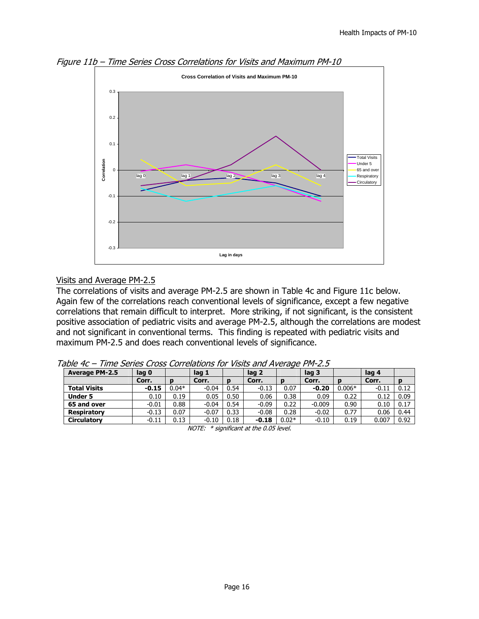

Figure 11b – Time Series Cross Correlations for Visits and Maximum PM-10

#### Visits and Average PM-2.5

The correlations of visits and average PM-2.5 are shown in Table 4c and Figure 11c below. Again few of the correlations reach conventional levels of significance, except a few negative correlations that remain difficult to interpret. More striking, if not significant, is the consistent positive association of pediatric visits and average PM-2.5, although the correlations are modest and not significant in conventional terms. This finding is repeated with pediatric visits and maximum PM-2.5 and does reach conventional levels of significance.

| <b>Average PM-2.5</b> | lag 0   |         | lag 1   |      | lag 2   |         | lag <sub>3</sub> |          | lag 4   |      |
|-----------------------|---------|---------|---------|------|---------|---------|------------------|----------|---------|------|
|                       | Corr.   |         | Corr.   |      | Corr.   | D       | Corr.            | D        | Corr.   |      |
| <b>Total Visits</b>   | $-0.15$ | $0.04*$ | $-0.04$ | 0.54 | $-0.13$ | 0.07    | $-0.20$          | $0.006*$ | $-0.11$ | 0.12 |
| <b>Under 5</b>        | 0.10    | 0.19    | 0.05    | 0.50 | 0.06    | 0.38    | 0.09             | 0.22     | 0.12    | 0.09 |
| 65 and over           | $-0.01$ | 0.88    | $-0.04$ | 0.54 | $-0.09$ | 0.22    | $-0.009$         | 0.90     | 0.10    | 0.17 |
| <b>Respiratory</b>    | $-0.13$ | 0.07    | $-0.07$ | 0.33 | $-0.08$ | 0.28    | $-0.02$          | 0.77     | 0.06    | 0.44 |
| <b>Circulatory</b>    | $-0.11$ | 0.13    | $-0.10$ | 0.18 | $-0.18$ | $0.02*$ | $-0.10$          | 0.19     | 0.007   | 0.92 |

Table 4c – Time Series Cross Correlations for Visits and Average PM-2.5

NOTE: \* significant at the 0.05 level.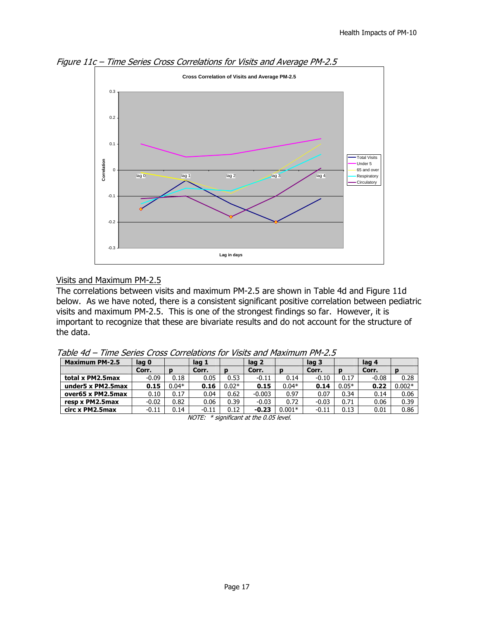

Figure 11c – Time Series Cross Correlations for Visits and Average PM-2.5

#### Visits and Maximum PM-2.5

The correlations between visits and maximum PM-2.5 are shown in Table 4d and Figure 11d below. As we have noted, there is a consistent significant positive correlation between pediatric visits and maximum PM-2.5. This is one of the strongest findings so far. However, it is important to recognize that these are bivariate results and do not account for the structure of the data.

| <b>Maximum PM-2.5</b> | lag 0   |         | lag 1   |         | lag 2    |          | lag 3   |         | lag 4   |          |
|-----------------------|---------|---------|---------|---------|----------|----------|---------|---------|---------|----------|
|                       | Corr.   |         | Corr.   |         | Corr.    | D        | Corr.   | Ð       | Corr.   |          |
| total x PM2.5max      | $-0.09$ | 0.18    | 0.05    | 0.53    | $-0.11$  | 0.14     | $-0.10$ | 0.17    | $-0.08$ | 0.28     |
| under5 x PM2.5max     | 0.15    | $0.04*$ | 0.16    | $0.02*$ | 0.15     | $0.04*$  | 0.14    | $0.05*$ | 0.22    | $0.002*$ |
| over65 x PM2.5max     | 0.10    | 0.17    | 0.04    | 0.62    | $-0.003$ | 0.97     | 0.07    | 0.34    | 0.14    | 0.06     |
| resp x PM2.5max       | $-0.02$ | 0.82    | 0.06    | 0.39    | $-0.03$  | 0.72     | $-0.03$ | 0.71    | 0.06    | 0.39     |
| circ x PM2.5max       | $-0.11$ | 0.14    | $-0.11$ | 0.12    | $-0.23$  | $0.001*$ | $-0.11$ | 0.13    | 0.01    | 0.86     |

Table 4d – Time Series Cross Correlations for Visits and Maximum PM-2.5

NOTE: \* significant at the 0.05 level.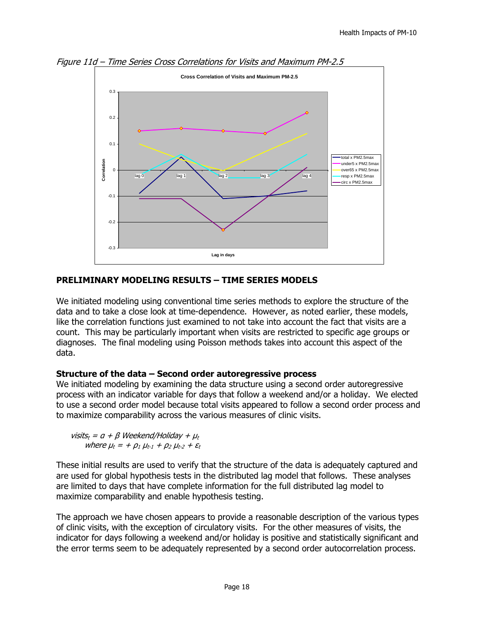

Figure 11d – Time Series Cross Correlations for Visits and Maximum PM-2.5

#### **PRELIMINARY MODELING RESULTS – TIME SERIES MODELS**

We initiated modeling using conventional time series methods to explore the structure of the data and to take a close look at time-dependence. However, as noted earlier, these models, like the correlation functions just examined to not take into account the fact that visits are a count. This may be particularly important when visits are restricted to specific age groups or diagnoses. The final modeling using Poisson methods takes into account this aspect of the data.

#### **Structure of the data – Second order autoregressive process**

We initiated modeling by examining the data structure using a second order autoregressive process with an indicator variable for days that follow a weekend and/or a holiday. We elected to use a second order model because total visits appeared to follow a second order process and to maximize comparability across the various measures of clinic visits.

visits<sub>t</sub> =  $a + \beta$  Weekend/Holiday +  $\mu_t$ where  $\mu_t = + \rho_1 \mu_{t-1} + \rho_2 \mu_{t-2} + \varepsilon_t$ 

These initial results are used to verify that the structure of the data is adequately captured and are used for global hypothesis tests in the distributed lag model that follows. These analyses are limited to days that have complete information for the full distributed lag model to maximize comparability and enable hypothesis testing.

The approach we have chosen appears to provide a reasonable description of the various types of clinic visits, with the exception of circulatory visits. For the other measures of visits, the indicator for days following a weekend and/or holiday is positive and statistically significant and the error terms seem to be adequately represented by a second order autocorrelation process.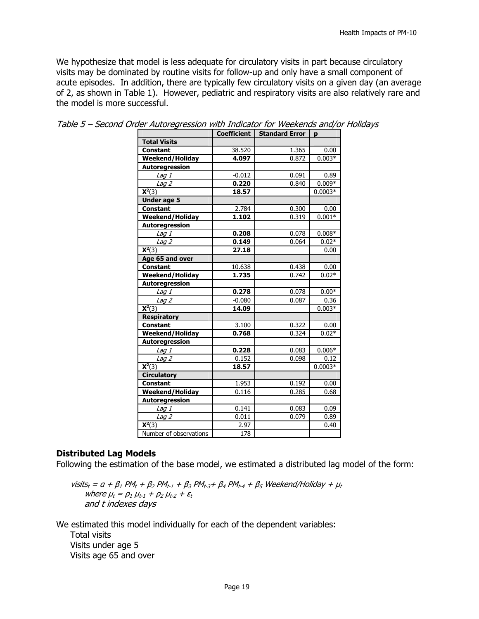We hypothesize that model is less adequate for circulatory visits in part because circulatory visits may be dominated by routine visits for follow-up and only have a small component of acute episodes. In addition, there are typically few circulatory visits on a given day (an average of 2, as shown in Table 1). However, pediatric and respiratory visits are also relatively rare and the model is more successful.

|                              | <b>Coefficient</b> | <b>Standard Error</b> | p         |
|------------------------------|--------------------|-----------------------|-----------|
| <b>Total Visits</b>          |                    |                       |           |
| <b>Constant</b>              | 38.520             | 1.365                 | 0.00      |
| Weekend/Holiday              | 4.097              | 0.872                 | $0.003*$  |
| Autoregression               |                    |                       |           |
| Lag 1                        | $-0.012$           | 0.091                 | 0.89      |
| Lag $2$                      | 0.220              | 0.840                 | $0.009*$  |
| $\overline{\mathbf{X}^2(3)}$ | 18.57              |                       | $0.0003*$ |
| <b>Under age 5</b>           |                    |                       |           |
| <b>Constant</b>              | 2.784              | 0.300                 | 0.00      |
| Weekend/Holiday              | 1.102              | 0.319                 | $0.001*$  |
| Autoregression               |                    |                       |           |
| $L$ ag $I$                   | 0.208              | 0.078                 | $0.008*$  |
| $Lag$ $\overline{2}$         | 0.149              | 0.064                 | $0.02*$   |
| $\mathbf{X}^2(3)$            | 27.18              |                       | 0.00      |
| Age 65 and over              |                    |                       |           |
| <b>Constant</b>              | 10.638             | 0.438                 | 0.00      |
| Weekend/Holiday              | 1.735              | 0.742                 | $0.02*$   |
| Autoregression               |                    |                       |           |
| Lag 1                        | 0.278              | 0.078                 | $0.00*$   |
| Lag <sub>2</sub>             | $-0.080$           | 0.087                 | 0.36      |
| $\overline{X^2(3)}$          | 14.09              |                       | $0.003*$  |
| <b>Respiratory</b>           |                    |                       |           |
| <b>Constant</b>              | 3.100              | 0.322                 | 0.00      |
| Weekend/Holiday              | 0.768              | 0.324                 | $0.02*$   |
| Autoregression               |                    |                       |           |
| Lag 1                        | 0.228              | 0.083                 | $0.006*$  |
| Lag <sub>2</sub>             | 0.152              | 0.098                 | 0.12      |
| $\mathbf{X}^2(3)$            | 18.57              |                       | $0.0003*$ |
| <b>Circulatory</b>           |                    |                       |           |
| <b>Constant</b>              | 1.953              | 0.192                 | 0.00      |
| <b>Weekend/Holiday</b>       | 0.116              | 0.285                 | 0.68      |
| Autoregression               |                    |                       |           |
| Lag 1                        | 0.141              | 0.083                 | 0.09      |
| $Lag$ $\overline{2}$         | 0.011              | 0.079                 | 0.89      |
| $\overline{\mathsf{X}^2(3)}$ | 2.97               |                       | 0.40      |
| Number of observations       | 178                |                       |           |

|  | Table 5 - Second Order Autoregression with Indicator for Weekends and/or Holidays |  |
|--|-----------------------------------------------------------------------------------|--|
|  |                                                                                   |  |

#### **Distributed Lag Models**

Following the estimation of the base model, we estimated a distributed lag model of the form:

visits<sub>t</sub> =  $a + \beta_1 PM_t + \beta_2 PM_{t-1} + \beta_3 PM_{t-3} + \beta_4 PM_{t-4} + \beta_5 Weekend/Holiday +  $\mu_t$$ where  $\mu_t = \rho_1 \mu_{t-1} + \rho_2 \mu_{t-2} + \varepsilon_t$ and t indexes days

We estimated this model individually for each of the dependent variables:

 Total visits Visits under age 5 Visits age 65 and over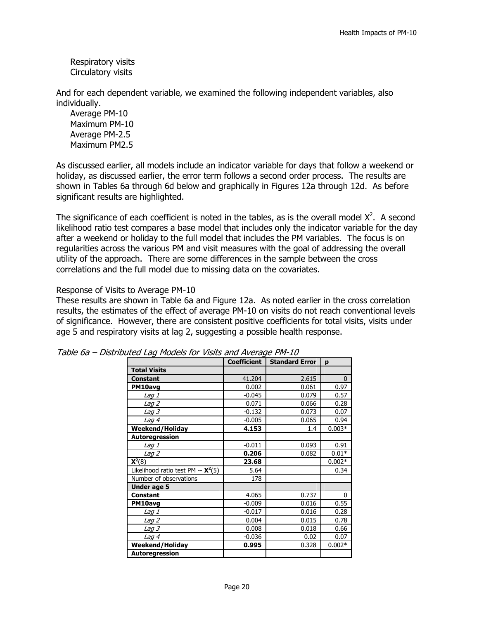Respiratory visits Circulatory visits

And for each dependent variable, we examined the following independent variables, also individually.

 Average PM-10 Maximum PM-10 Average PM-2.5 Maximum PM2.5

As discussed earlier, all models include an indicator variable for days that follow a weekend or holiday, as discussed earlier, the error term follows a second order process. The results are shown in Tables 6a through 6d below and graphically in Figures 12a through 12d. As before significant results are highlighted.

The significance of each coefficient is noted in the tables, as is the overall model  $X^2$ . A second likelihood ratio test compares a base model that includes only the indicator variable for the day after a weekend or holiday to the full model that includes the PM variables. The focus is on regularities across the various PM and visit measures with the goal of addressing the overall utility of the approach. There are some differences in the sample between the cross correlations and the full model due to missing data on the covariates.

#### Response of Visits to Average PM-10

These results are shown in Table 6a and Figure 12a. As noted earlier in the cross correlation results, the estimates of the effect of average PM-10 on visits do not reach conventional levels of significance. However, there are consistent positive coefficients for total visits, visits under age 5 and respiratory visits at lag 2, suggesting a possible health response.

|                                               | <b>Coefficient</b> | <b>Standard Error</b> | p        |
|-----------------------------------------------|--------------------|-----------------------|----------|
| <b>Total Visits</b>                           |                    |                       |          |
| <b>Constant</b>                               | 41.204             | 2.615                 | 0        |
| PM10avg                                       | 0.002              | 0.061                 | 0.97     |
| <i>Laq 1</i>                                  | $-0.045$           | 0.079                 | 0.57     |
| <i>Laq 2</i>                                  | 0.071              | 0.066                 | 0.28     |
| <i>Laq 3</i>                                  | $-0.132$           | 0.073                 | 0.07     |
| <i>Laq 4</i>                                  | $-0.005$           | 0.065                 | 0.94     |
| <b>Weekend/Holiday</b>                        | 4.153              | 1.4                   | $0.003*$ |
| Autoregression                                |                    |                       |          |
| Lag 1                                         | $-0.011$           | 0.093                 | 0.91     |
| <i>Laq 2</i>                                  | 0.206              | 0.082                 | $0.01*$  |
| $X2(8)$                                       | 23.68              |                       | $0.002*$ |
| Likelihood ratio test PM -- $\mathsf{X}^2(5)$ | 5.64               |                       | 0.34     |
| Number of observations                        | 178                |                       |          |
| Under age 5                                   |                    |                       |          |
| <b>Constant</b>                               | 4.065              | 0.737                 | 0        |
| PM10avg                                       | $-0.009$           | 0.016                 | 0.55     |
| Lag 1                                         | $-0.017$           | 0.016                 | 0.28     |
| <i>Laq 2</i>                                  | 0.004              | 0.015                 | 0.78     |
| <i>Laq 3</i>                                  | 0.008              | 0.018                 | 0.66     |
| Lag 4                                         | $-0.036$           | 0.02                  | 0.07     |
| <b>Weekend/Holiday</b>                        | 0.995              | 0.328                 | $0.002*$ |
| <b>Autoregression</b>                         |                    |                       |          |

| Table 6a - Distributed Lag Models for Visits and Average PM-10 |  |
|----------------------------------------------------------------|--|
|----------------------------------------------------------------|--|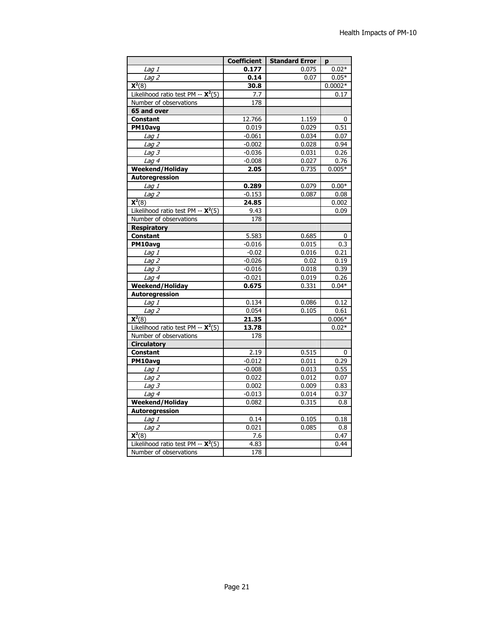|                                               | <b>Coefficient</b> | <b>Standard Error</b> | p         |
|-----------------------------------------------|--------------------|-----------------------|-----------|
| Lag 1                                         | 0.177              | 0.075                 | $0.02*$   |
| Lag <sub>2</sub>                              | 0.14               | 0.07                  | $0.05*$   |
| $\overline{\mathbf{X}^2(8)}$                  | 30.8               |                       | $0.0002*$ |
| Likelihood ratio test PM -- $\mathsf{X}^2(5)$ | 7.7                |                       | 0.17      |
| Number of observations                        | 178                |                       |           |
| 65 and over                                   |                    |                       |           |
| <b>Constant</b>                               | 12.766             | 1.159                 | 0         |
| PM10avg                                       | 0.019              | 0.029                 | 0.51      |
| Lag 1                                         | $-0.061$           | 0.034                 | 0.07      |
| Lag <sub>2</sub>                              | $-0.002$           | 0.028                 | 0.94      |
| Lag <sub>3</sub>                              | $-0.036$           | 0.031                 | 0.26      |
| Lag 4                                         | $-0.008$           | 0.027                 | 0.76      |
| <b>Weekend/Holiday</b>                        | 2.05               | 0.735                 | $0.005*$  |
| Autoregression                                |                    |                       |           |
| $\overline{L}$ ag 1                           | 0.289              | 0.079                 | $0.00*$   |
| Lag <sub>2</sub>                              | $-0.153$           | 0.087                 | 0.08      |
| $\overline{\mathsf{X}^2(8)}$                  | 24.85              |                       | 0.002     |
| Likelihood ratio test PM -- $\mathsf{X}^2(5)$ | 9.43               |                       | 0.09      |
| Number of observations                        | 178                |                       |           |
| <b>Respiratory</b>                            |                    |                       |           |
| <b>Constant</b>                               | 5.583              | 0.685                 | 0         |
| PM10avg                                       | $-0.016$           | 0.015                 | 0.3       |
| Lag 1                                         | $-0.02$            | 0.016                 | 0.21      |
| $\overline{L}$ ag 2                           | $-0.026$           | 0.02                  | 0.19      |
| Lag <sub>3</sub>                              | $-0.016$           | 0.018                 | 0.39      |
| Lag 4                                         | $-0.021$           | 0.019                 | 0.26      |
| <b>Weekend/Holiday</b>                        | 0.675              | 0.331                 | $0.04*$   |
| <b>Autoregression</b>                         |                    |                       |           |
| <i>Lag 1</i>                                  | 0.134              | 0.086                 | 0.12      |
| Lag <sub>2</sub>                              | 0.054              | 0.105                 | 0.61      |
| $X2(8)$                                       | 21.35              |                       | $0.006*$  |
| Likelihood ratio test PM -- $\mathsf{X}^2(5)$ | 13.78              |                       | $0.02*$   |
| Number of observations                        | 178                |                       |           |
| <b>Circulatory</b>                            |                    |                       |           |
| <b>Constant</b>                               | 2.19               | 0.515                 | 0         |
| PM10avg                                       | $-0.012$           | 0.011                 | 0.29      |
| Lag 1                                         | $-0.008$           | 0.013                 | 0.55      |
| $\overline{L}$ ag 2                           | 0.022              | 0.012                 | 0.07      |
| Lag 3                                         | 0.002              | 0.009                 | 0.83      |
| $L$ aq 4                                      | $-0.013$           | 0.014                 | 0.37      |
| <b>Weekend/Holiday</b>                        | 0.082              | 0.315                 | 0.8       |
| <b>Autoregression</b>                         |                    |                       |           |
| Lag 1                                         | 0.14               | 0.105                 | 0.18      |
| Laq2                                          | 0.021              | 0.085                 | 0.8       |
| $\overline{\mathsf{X}^2(8)}$                  | 7.6                |                       | 0.47      |
| Likelihood ratio test PM -- $\mathsf{X}^2(5)$ | 4.83               |                       | 0.44      |
| Number of observations                        | 178                |                       |           |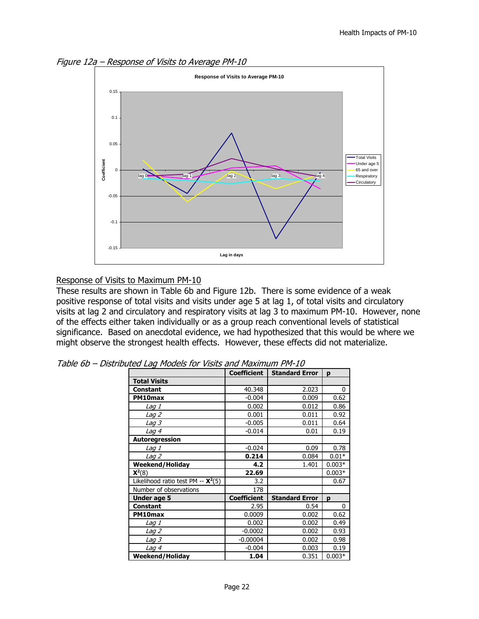Figure 12a – Response of Visits to Average PM-10



#### Response of Visits to Maximum PM-10

These results are shown in Table 6b and Figure 12b. There is some evidence of a weak positive response of total visits and visits under age 5 at lag 1, of total visits and circulatory visits at lag 2 and circulatory and respiratory visits at lag 3 to maximum PM-10. However, none of the effects either taken individually or as a group reach conventional levels of statistical significance. Based on anecdotal evidence, we had hypothesized that this would be where we might observe the strongest health effects. However, these effects did not materialize.

|                                               | <b>Coefficient</b> | <b>Standard Error</b> | p            |
|-----------------------------------------------|--------------------|-----------------------|--------------|
| <b>Total Visits</b>                           |                    |                       |              |
| <b>Constant</b>                               | 40.348             | 2.023                 | 0            |
| PM10max                                       | $-0.004$           | 0.009                 | 0.62         |
| <i>Lag 1</i>                                  | 0.002              | 0.012                 | 0.86         |
| $L$ ag 2                                      | 0.001              | 0.011                 | 0.92         |
| Lag 3                                         | $-0.005$           | 0.011                 | 0.64         |
| Lag 4                                         | $-0.014$           | 0.01                  | 0.19         |
| Autoregression                                |                    |                       |              |
| Lag 1                                         | $-0.024$           | 0.09                  | 0.78         |
| <i>Laq 2</i>                                  | 0.214              | 0.084                 | $0.01*$      |
| <b>Weekend/Holiday</b>                        | 4.2                | 1.401                 | $0.003*$     |
| $X2(8)$                                       | 22.69              |                       | $0.003*$     |
| Likelihood ratio test PM -- $\mathsf{X}^2(5)$ | 3.2                |                       | 0.67         |
| Number of observations                        | 178                |                       |              |
| Under age 5                                   | <b>Coefficient</b> | <b>Standard Error</b> | p            |
| <b>Constant</b>                               | 2.95               | 0.54                  | $\mathbf{0}$ |
| PM10max                                       | 0.0009             | 0.002                 | 0.62         |
| Lag 1                                         | 0.002              | 0.002                 | 0.49         |
| Lag 2                                         | $-0.0002$          | 0.002                 | 0.93         |
| <i>Laq 3</i>                                  | $-0.00004$         | 0.002                 | 0.98         |
| Lag 4                                         | $-0.004$           | 0.003                 | 0.19         |
| <b>Weekend/Holiday</b>                        | 1.04               | 0.351                 | $0.003*$     |

Table 6b – Distributed Lag Models for Visits and Maximum PM-10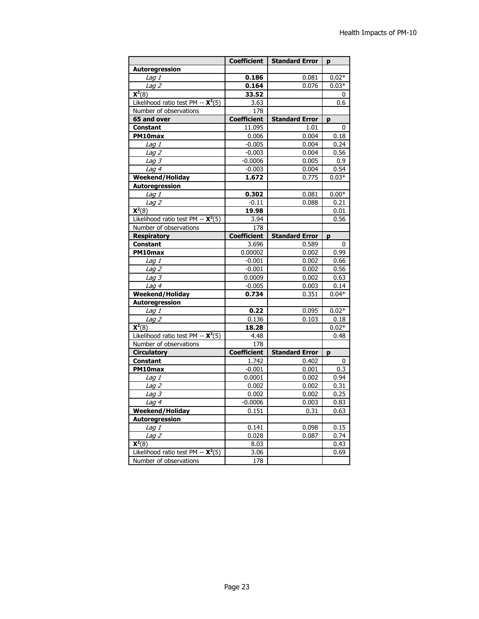|                                               | <b>Coefficient</b> | <b>Standard Error</b> | p       |
|-----------------------------------------------|--------------------|-----------------------|---------|
| Autoregression                                |                    |                       |         |
| $\overline{L}$ ag 1                           | 0.186              | 0.081                 | $0.02*$ |
| $L$ aq $2$                                    | 0.164              | 0.076                 | $0.03*$ |
| $\overline{\mathsf{X}^2(8)}$                  | 33.52              |                       | 0       |
| Likelihood ratio test PM -- $\mathsf{X}^2(5)$ | 3.63               |                       | 0.6     |
| Number of observations                        | 178                |                       |         |
| 65 and over                                   | <b>Coefficient</b> | <b>Standard Error</b> | p       |
| <b>Constant</b>                               | 11.095             | 1.01                  | 0       |
| PM10max                                       | 0.006              | 0.004                 | 0.18    |
| Lag 1                                         | $-0.005$           | 0.004                 | 0.24    |
| Lag $2$                                       | $-0.003$           | 0.004                 | 0.56    |
| Lag <sub>3</sub>                              | $-0.0006$          | 0.005                 | 0.9     |
| Lag 4                                         | $-0.003$           | 0.004                 | 0.54    |
| <b>Weekend/Holiday</b>                        | 1.672              | 0.775                 | $0.03*$ |
| Autoregression                                |                    |                       |         |
| Lag 1                                         | 0.302              | 0.081                 | $0.00*$ |
| Lag <sub>2</sub>                              | $-0.11$            | 0.088                 | 0.21    |
| $\overline{\mathsf{X}^2(8)}$                  | 19.98              |                       | 0.01    |
| Likelihood ratio test PM -- $\mathsf{X}^2(5)$ | 3.94               |                       | 0.56    |
| Number of observations                        | 178                |                       |         |
| <b>Respiratory</b>                            | <b>Coefficient</b> | <b>Standard Error</b> | p       |
| <b>Constant</b>                               | 3.696              | 0.589                 | 0       |
| PM10max                                       | 0.00002            | 0.002                 | 0.99    |
| Lag 1                                         | $-0.001$           | 0.002                 | 0.66    |
| $\overline{L}$ ag 2                           | $-0.001$           | 0.002                 | 0.56    |
| Lag $3$                                       | 0.0009             | 0.002                 | 0.63    |
| Lag $4$                                       | $-0.005$           | 0.003                 | 0.14    |
| <b>Weekend/Holiday</b>                        | 0.734              | 0.351                 | $0.04*$ |
| Autoregression                                |                    |                       |         |
| $\overline{Lag}$ 1                            | 0.22               | 0.095                 | $0.02*$ |
| Lag $2$                                       | 0.136              | 0.103                 | 0.18    |
| $\mathbf{X}^2(8)$                             | 18.28              |                       | $0.02*$ |
| Likelihood ratio test PM -- $\mathsf{X}^2(5)$ | 4.48               |                       | 0.48    |
| Number of observations                        | 178                |                       |         |
| <b>Circulatory</b>                            | <b>Coefficient</b> | <b>Standard Error</b> | p       |
| <b>Constant</b>                               | 1.742              | 0.402                 | 0       |
| PM10max                                       | $-0.001$           | 0.001                 | 0.3     |
| Lag 1                                         | 0.0001             | 0.002                 | 0.94    |
| Lag <sub>2</sub>                              | 0.002              | 0.002                 | 0.31    |
| Lag $3$                                       | 0.002              | 0.002                 | 0.25    |
| $L$ ag 4                                      | $-0.0006$          | 0.003                 | 0.83    |
| <b>Weekend/Holiday</b>                        | 0.151              | 0.31                  | 0.63    |
| Autoregression                                |                    |                       |         |
| Lag 1                                         | 0.141              | 0.098                 | 0.15    |
| Lag <sub>2</sub>                              | 0.028              | 0.087                 | 0.74    |
| $\overline{\mathbf{X}^2(8)}$                  | 8.03               |                       | 0.43    |
| Likelihood ratio test PM -- $\mathsf{X}^2(5)$ | 3.06               |                       | 0.69    |
| Number of observations                        | 178                |                       |         |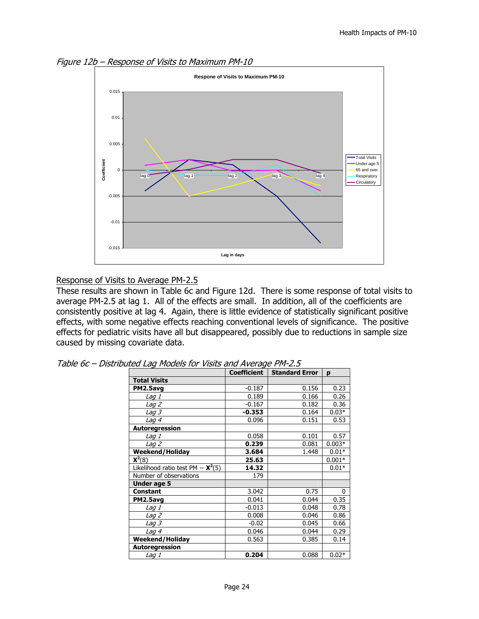Figure 12b – Response of Visits to Maximum PM-10



#### Response of Visits to Average PM-2.5

These results are shown in Table 6c and Figure 12d. There is some response of total visits to average PM-2.5 at lag 1. All of the effects are small. In addition, all of the coefficients are consistently positive at lag 4. Again, there is little evidence of statistically significant positive effects, with some negative effects reaching conventional levels of significance. The positive effects for pediatric visits have all but disappeared, possibly due to reductions in sample size caused by missing covariate data.

|                                               | <b>Coefficient</b> | <b>Standard Error</b> | p        |
|-----------------------------------------------|--------------------|-----------------------|----------|
| <b>Total Visits</b>                           |                    |                       |          |
| PM2.5avg                                      | $-0.187$           | 0.156                 | 0.23     |
| Lag 1                                         | 0.189              | 0.166                 | 0.26     |
| Lag 2                                         | $-0.167$           | 0.182                 | 0.36     |
| Lag 3                                         | $-0.353$           | 0.164                 | $0.03*$  |
| Lag $4$                                       | 0.096              | 0.151                 | 0.53     |
| Autoregression                                |                    |                       |          |
| <i>Lag 1</i>                                  | 0.058              | 0.101                 | 0.57     |
| <i>Laq 2</i>                                  | 0.239              | 0.081                 | $0.003*$ |
| Weekend/Holiday                               | 3.684              | 1.448                 | $0.01*$  |
| $X2(8)$                                       | 25.63              |                       | $0.001*$ |
| Likelihood ratio test PM -- $\mathsf{X}^2(5)$ | 14.32              |                       | $0.01*$  |
| Number of observations                        | 179                |                       |          |
| Under age 5                                   |                    |                       |          |
| <b>Constant</b>                               | 3.042              | 0.75                  | $\Omega$ |
| PM2.5avg                                      | 0.041              | 0.044                 | 0.35     |
| Lag 1                                         | $-0.013$           | 0.048                 | 0.78     |
| Lag <sub>2</sub>                              | 0.008              | 0.046                 | 0.86     |
| <i>Laq 3</i>                                  | $-0.02$            | 0.045                 | 0.66     |
| Lag 4                                         | 0.046              | 0.044                 | 0.29     |
| <b>Weekend/Holiday</b>                        | 0.563              | 0.385                 | 0.14     |
| <b>Autoregression</b>                         |                    |                       |          |
| Lag 1                                         | 0.204              | 0.088                 | $0.02*$  |

Table 6c – Distributed Lag Models for Visits and Average PM-2.5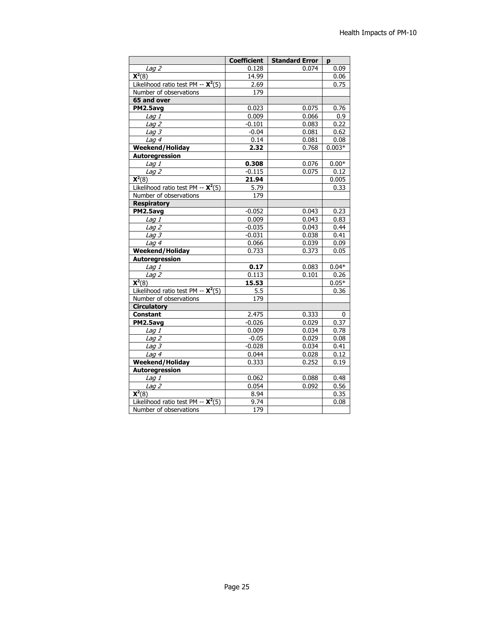| 0.09<br>Lag <sub>2</sub><br>0.128<br>0.074<br>$\overline{\mathsf{X}^2(8)}$<br>14.99<br>0.06<br>Likelihood ratio test PM -- $\mathsf{X}^2(5)$<br>2.69<br>0.75<br>Number of observations<br>179<br>65 and over<br>PM2.5avg<br>0.023<br>0.075<br>0.76<br>Lag <sub>I</sub><br>0.009<br>0.066<br>0.9<br>$-0.101$<br>0.083<br>0.22<br>Lag <sub>2</sub><br>0.081<br>0.62<br>Lag $3$<br>$-0.04$<br>0.14<br>0.08<br>Lag 4<br>0.081<br>2.32<br>0.768<br>$0.003*$<br><b>Weekend/Holiday</b><br><b>Autoregression</b><br>0.308<br>0.076<br>$0.00*$<br>Lag <sub>I</sub><br>$-0.115$<br>0.075<br>0.12<br>Lag <sub>2</sub><br>$\overline{\mathsf{X}^2(8)}$<br>21.94<br>0.005<br>$\overline{5.79}$<br>Likelihood ratio test PM -- $\mathbf{X}^2(5)$<br>0.33<br>$\overline{179}$<br>Number of observations<br><b>Respiratory</b><br>PM2.5avg<br>$-0.052$<br>0.043<br>0.23<br>0.043<br>0.83<br>Lag 1<br>0.009<br>0.44<br>Lag <sub>2</sub><br>$-0.035$<br>0.043<br>0.41<br>$L$ ag 3<br>$-0.031$<br>0.038<br>0.066<br>$L$ ag 4<br>0.039<br>0.09<br><b>Weekend/Holiday</b><br>0.733<br>0.373<br>0.05<br><b>Autoregression</b><br>0.17<br>$0.04*$<br>Laq1<br>0.083<br>0.113<br>0.101<br>0.26<br>$L$ ag $2$<br>$\overline{\mathbf{X}^2(8)}$<br>15.53<br>$0.05*$<br>Likelihood ratio test PM -- $\mathsf{X}^2(5)$<br>5.5<br>0.36<br>179<br>Number of observations<br><b>Circulatory</b><br><b>Constant</b><br>2.475<br>0.333<br>0<br>$-0.026$<br>PM2.5avg<br>0.029<br>0.37<br>0.009<br>0.034<br>0.78<br>$L$ ag 1<br>Lag 2<br>$-0.05$<br>0.029<br>0.08<br>0.034<br>$L$ ag 3<br>$-0.028$<br>0.41<br>$L$ ag 4<br>0.044<br>0.028<br>0.12<br>Weekend/Holiday<br>0.252<br>0.333<br>0.19<br>Autoregression<br>$L$ ag 1<br>0.062<br>0.088<br>0.48<br>Lag <sub>2</sub><br>0.054<br>0.56<br>0.092<br>$\overline{\mathsf{X}^2(8)}$<br>8.94<br>0.35<br>Likelihood ratio test PM -- $\mathbf{X}^2(5)$<br>9.74<br>0.08 | <b>Coefficient</b> | <b>Standard Error</b> | p |
|----------------------------------------------------------------------------------------------------------------------------------------------------------------------------------------------------------------------------------------------------------------------------------------------------------------------------------------------------------------------------------------------------------------------------------------------------------------------------------------------------------------------------------------------------------------------------------------------------------------------------------------------------------------------------------------------------------------------------------------------------------------------------------------------------------------------------------------------------------------------------------------------------------------------------------------------------------------------------------------------------------------------------------------------------------------------------------------------------------------------------------------------------------------------------------------------------------------------------------------------------------------------------------------------------------------------------------------------------------------------------------------------------------------------------------------------------------------------------------------------------------------------------------------------------------------------------------------------------------------------------------------------------------------------------------------------------------------------------------------------------------------------------------------------------------------------------------------------------------------------------------|--------------------|-----------------------|---|
|                                                                                                                                                                                                                                                                                                                                                                                                                                                                                                                                                                                                                                                                                                                                                                                                                                                                                                                                                                                                                                                                                                                                                                                                                                                                                                                                                                                                                                                                                                                                                                                                                                                                                                                                                                                                                                                                                  |                    |                       |   |
|                                                                                                                                                                                                                                                                                                                                                                                                                                                                                                                                                                                                                                                                                                                                                                                                                                                                                                                                                                                                                                                                                                                                                                                                                                                                                                                                                                                                                                                                                                                                                                                                                                                                                                                                                                                                                                                                                  |                    |                       |   |
|                                                                                                                                                                                                                                                                                                                                                                                                                                                                                                                                                                                                                                                                                                                                                                                                                                                                                                                                                                                                                                                                                                                                                                                                                                                                                                                                                                                                                                                                                                                                                                                                                                                                                                                                                                                                                                                                                  |                    |                       |   |
|                                                                                                                                                                                                                                                                                                                                                                                                                                                                                                                                                                                                                                                                                                                                                                                                                                                                                                                                                                                                                                                                                                                                                                                                                                                                                                                                                                                                                                                                                                                                                                                                                                                                                                                                                                                                                                                                                  |                    |                       |   |
|                                                                                                                                                                                                                                                                                                                                                                                                                                                                                                                                                                                                                                                                                                                                                                                                                                                                                                                                                                                                                                                                                                                                                                                                                                                                                                                                                                                                                                                                                                                                                                                                                                                                                                                                                                                                                                                                                  |                    |                       |   |
|                                                                                                                                                                                                                                                                                                                                                                                                                                                                                                                                                                                                                                                                                                                                                                                                                                                                                                                                                                                                                                                                                                                                                                                                                                                                                                                                                                                                                                                                                                                                                                                                                                                                                                                                                                                                                                                                                  |                    |                       |   |
|                                                                                                                                                                                                                                                                                                                                                                                                                                                                                                                                                                                                                                                                                                                                                                                                                                                                                                                                                                                                                                                                                                                                                                                                                                                                                                                                                                                                                                                                                                                                                                                                                                                                                                                                                                                                                                                                                  |                    |                       |   |
|                                                                                                                                                                                                                                                                                                                                                                                                                                                                                                                                                                                                                                                                                                                                                                                                                                                                                                                                                                                                                                                                                                                                                                                                                                                                                                                                                                                                                                                                                                                                                                                                                                                                                                                                                                                                                                                                                  |                    |                       |   |
|                                                                                                                                                                                                                                                                                                                                                                                                                                                                                                                                                                                                                                                                                                                                                                                                                                                                                                                                                                                                                                                                                                                                                                                                                                                                                                                                                                                                                                                                                                                                                                                                                                                                                                                                                                                                                                                                                  |                    |                       |   |
|                                                                                                                                                                                                                                                                                                                                                                                                                                                                                                                                                                                                                                                                                                                                                                                                                                                                                                                                                                                                                                                                                                                                                                                                                                                                                                                                                                                                                                                                                                                                                                                                                                                                                                                                                                                                                                                                                  |                    |                       |   |
|                                                                                                                                                                                                                                                                                                                                                                                                                                                                                                                                                                                                                                                                                                                                                                                                                                                                                                                                                                                                                                                                                                                                                                                                                                                                                                                                                                                                                                                                                                                                                                                                                                                                                                                                                                                                                                                                                  |                    |                       |   |
|                                                                                                                                                                                                                                                                                                                                                                                                                                                                                                                                                                                                                                                                                                                                                                                                                                                                                                                                                                                                                                                                                                                                                                                                                                                                                                                                                                                                                                                                                                                                                                                                                                                                                                                                                                                                                                                                                  |                    |                       |   |
|                                                                                                                                                                                                                                                                                                                                                                                                                                                                                                                                                                                                                                                                                                                                                                                                                                                                                                                                                                                                                                                                                                                                                                                                                                                                                                                                                                                                                                                                                                                                                                                                                                                                                                                                                                                                                                                                                  |                    |                       |   |
|                                                                                                                                                                                                                                                                                                                                                                                                                                                                                                                                                                                                                                                                                                                                                                                                                                                                                                                                                                                                                                                                                                                                                                                                                                                                                                                                                                                                                                                                                                                                                                                                                                                                                                                                                                                                                                                                                  |                    |                       |   |
|                                                                                                                                                                                                                                                                                                                                                                                                                                                                                                                                                                                                                                                                                                                                                                                                                                                                                                                                                                                                                                                                                                                                                                                                                                                                                                                                                                                                                                                                                                                                                                                                                                                                                                                                                                                                                                                                                  |                    |                       |   |
|                                                                                                                                                                                                                                                                                                                                                                                                                                                                                                                                                                                                                                                                                                                                                                                                                                                                                                                                                                                                                                                                                                                                                                                                                                                                                                                                                                                                                                                                                                                                                                                                                                                                                                                                                                                                                                                                                  |                    |                       |   |
|                                                                                                                                                                                                                                                                                                                                                                                                                                                                                                                                                                                                                                                                                                                                                                                                                                                                                                                                                                                                                                                                                                                                                                                                                                                                                                                                                                                                                                                                                                                                                                                                                                                                                                                                                                                                                                                                                  |                    |                       |   |
|                                                                                                                                                                                                                                                                                                                                                                                                                                                                                                                                                                                                                                                                                                                                                                                                                                                                                                                                                                                                                                                                                                                                                                                                                                                                                                                                                                                                                                                                                                                                                                                                                                                                                                                                                                                                                                                                                  |                    |                       |   |
|                                                                                                                                                                                                                                                                                                                                                                                                                                                                                                                                                                                                                                                                                                                                                                                                                                                                                                                                                                                                                                                                                                                                                                                                                                                                                                                                                                                                                                                                                                                                                                                                                                                                                                                                                                                                                                                                                  |                    |                       |   |
|                                                                                                                                                                                                                                                                                                                                                                                                                                                                                                                                                                                                                                                                                                                                                                                                                                                                                                                                                                                                                                                                                                                                                                                                                                                                                                                                                                                                                                                                                                                                                                                                                                                                                                                                                                                                                                                                                  |                    |                       |   |
|                                                                                                                                                                                                                                                                                                                                                                                                                                                                                                                                                                                                                                                                                                                                                                                                                                                                                                                                                                                                                                                                                                                                                                                                                                                                                                                                                                                                                                                                                                                                                                                                                                                                                                                                                                                                                                                                                  |                    |                       |   |
|                                                                                                                                                                                                                                                                                                                                                                                                                                                                                                                                                                                                                                                                                                                                                                                                                                                                                                                                                                                                                                                                                                                                                                                                                                                                                                                                                                                                                                                                                                                                                                                                                                                                                                                                                                                                                                                                                  |                    |                       |   |
|                                                                                                                                                                                                                                                                                                                                                                                                                                                                                                                                                                                                                                                                                                                                                                                                                                                                                                                                                                                                                                                                                                                                                                                                                                                                                                                                                                                                                                                                                                                                                                                                                                                                                                                                                                                                                                                                                  |                    |                       |   |
|                                                                                                                                                                                                                                                                                                                                                                                                                                                                                                                                                                                                                                                                                                                                                                                                                                                                                                                                                                                                                                                                                                                                                                                                                                                                                                                                                                                                                                                                                                                                                                                                                                                                                                                                                                                                                                                                                  |                    |                       |   |
|                                                                                                                                                                                                                                                                                                                                                                                                                                                                                                                                                                                                                                                                                                                                                                                                                                                                                                                                                                                                                                                                                                                                                                                                                                                                                                                                                                                                                                                                                                                                                                                                                                                                                                                                                                                                                                                                                  |                    |                       |   |
|                                                                                                                                                                                                                                                                                                                                                                                                                                                                                                                                                                                                                                                                                                                                                                                                                                                                                                                                                                                                                                                                                                                                                                                                                                                                                                                                                                                                                                                                                                                                                                                                                                                                                                                                                                                                                                                                                  |                    |                       |   |
|                                                                                                                                                                                                                                                                                                                                                                                                                                                                                                                                                                                                                                                                                                                                                                                                                                                                                                                                                                                                                                                                                                                                                                                                                                                                                                                                                                                                                                                                                                                                                                                                                                                                                                                                                                                                                                                                                  |                    |                       |   |
|                                                                                                                                                                                                                                                                                                                                                                                                                                                                                                                                                                                                                                                                                                                                                                                                                                                                                                                                                                                                                                                                                                                                                                                                                                                                                                                                                                                                                                                                                                                                                                                                                                                                                                                                                                                                                                                                                  |                    |                       |   |
|                                                                                                                                                                                                                                                                                                                                                                                                                                                                                                                                                                                                                                                                                                                                                                                                                                                                                                                                                                                                                                                                                                                                                                                                                                                                                                                                                                                                                                                                                                                                                                                                                                                                                                                                                                                                                                                                                  |                    |                       |   |
|                                                                                                                                                                                                                                                                                                                                                                                                                                                                                                                                                                                                                                                                                                                                                                                                                                                                                                                                                                                                                                                                                                                                                                                                                                                                                                                                                                                                                                                                                                                                                                                                                                                                                                                                                                                                                                                                                  |                    |                       |   |
|                                                                                                                                                                                                                                                                                                                                                                                                                                                                                                                                                                                                                                                                                                                                                                                                                                                                                                                                                                                                                                                                                                                                                                                                                                                                                                                                                                                                                                                                                                                                                                                                                                                                                                                                                                                                                                                                                  |                    |                       |   |
|                                                                                                                                                                                                                                                                                                                                                                                                                                                                                                                                                                                                                                                                                                                                                                                                                                                                                                                                                                                                                                                                                                                                                                                                                                                                                                                                                                                                                                                                                                                                                                                                                                                                                                                                                                                                                                                                                  |                    |                       |   |
|                                                                                                                                                                                                                                                                                                                                                                                                                                                                                                                                                                                                                                                                                                                                                                                                                                                                                                                                                                                                                                                                                                                                                                                                                                                                                                                                                                                                                                                                                                                                                                                                                                                                                                                                                                                                                                                                                  |                    |                       |   |
|                                                                                                                                                                                                                                                                                                                                                                                                                                                                                                                                                                                                                                                                                                                                                                                                                                                                                                                                                                                                                                                                                                                                                                                                                                                                                                                                                                                                                                                                                                                                                                                                                                                                                                                                                                                                                                                                                  |                    |                       |   |
|                                                                                                                                                                                                                                                                                                                                                                                                                                                                                                                                                                                                                                                                                                                                                                                                                                                                                                                                                                                                                                                                                                                                                                                                                                                                                                                                                                                                                                                                                                                                                                                                                                                                                                                                                                                                                                                                                  |                    |                       |   |
|                                                                                                                                                                                                                                                                                                                                                                                                                                                                                                                                                                                                                                                                                                                                                                                                                                                                                                                                                                                                                                                                                                                                                                                                                                                                                                                                                                                                                                                                                                                                                                                                                                                                                                                                                                                                                                                                                  |                    |                       |   |
|                                                                                                                                                                                                                                                                                                                                                                                                                                                                                                                                                                                                                                                                                                                                                                                                                                                                                                                                                                                                                                                                                                                                                                                                                                                                                                                                                                                                                                                                                                                                                                                                                                                                                                                                                                                                                                                                                  |                    |                       |   |
|                                                                                                                                                                                                                                                                                                                                                                                                                                                                                                                                                                                                                                                                                                                                                                                                                                                                                                                                                                                                                                                                                                                                                                                                                                                                                                                                                                                                                                                                                                                                                                                                                                                                                                                                                                                                                                                                                  |                    |                       |   |
|                                                                                                                                                                                                                                                                                                                                                                                                                                                                                                                                                                                                                                                                                                                                                                                                                                                                                                                                                                                                                                                                                                                                                                                                                                                                                                                                                                                                                                                                                                                                                                                                                                                                                                                                                                                                                                                                                  |                    |                       |   |
|                                                                                                                                                                                                                                                                                                                                                                                                                                                                                                                                                                                                                                                                                                                                                                                                                                                                                                                                                                                                                                                                                                                                                                                                                                                                                                                                                                                                                                                                                                                                                                                                                                                                                                                                                                                                                                                                                  |                    |                       |   |
|                                                                                                                                                                                                                                                                                                                                                                                                                                                                                                                                                                                                                                                                                                                                                                                                                                                                                                                                                                                                                                                                                                                                                                                                                                                                                                                                                                                                                                                                                                                                                                                                                                                                                                                                                                                                                                                                                  |                    |                       |   |
|                                                                                                                                                                                                                                                                                                                                                                                                                                                                                                                                                                                                                                                                                                                                                                                                                                                                                                                                                                                                                                                                                                                                                                                                                                                                                                                                                                                                                                                                                                                                                                                                                                                                                                                                                                                                                                                                                  |                    |                       |   |
| Number of observations<br>179                                                                                                                                                                                                                                                                                                                                                                                                                                                                                                                                                                                                                                                                                                                                                                                                                                                                                                                                                                                                                                                                                                                                                                                                                                                                                                                                                                                                                                                                                                                                                                                                                                                                                                                                                                                                                                                    |                    |                       |   |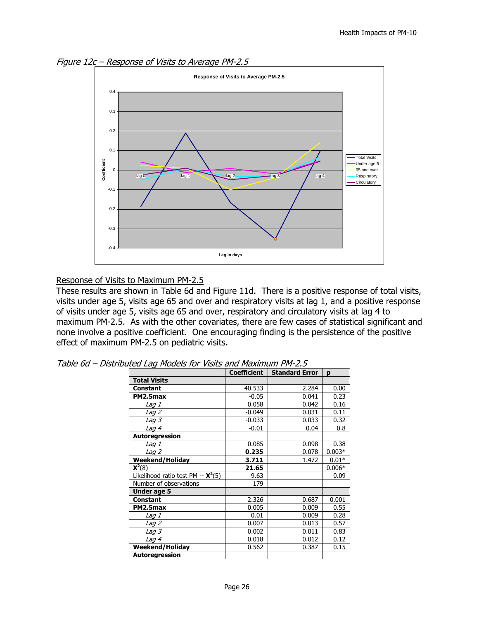Figure 12c – Response of Visits to Average PM-2.5



#### Response of Visits to Maximum PM-2.5

These results are shown in Table 6d and Figure 11d. There is a positive response of total visits, visits under age 5, visits age 65 and over and respiratory visits at lag 1, and a positive response of visits under age 5, visits age 65 and over, respiratory and circulatory visits at lag 4 to maximum PM-2.5. As with the other covariates, there are few cases of statistical significant and none involve a positive coefficient. One encouraging finding is the persistence of the positive effect of maximum PM-2.5 on pediatric visits.

|                                               | <b>Coefficient</b> | <b>Standard Error</b> | p        |
|-----------------------------------------------|--------------------|-----------------------|----------|
| <b>Total Visits</b>                           |                    |                       |          |
| <b>Constant</b>                               | 40.533             | 2.284                 | 0.00     |
| PM2.5max                                      | $-0.05$            | 0.041                 | 0.23     |
| Lag 1                                         | 0.058              | 0.042                 | 0.16     |
| <i>Laq 2</i>                                  | $-0.049$           | 0.031                 | 0.11     |
| Lag 3                                         | $-0.033$           | 0.033                 | 0.32     |
| Lag 4                                         | $-0.01$            | 0.04                  | 0.8      |
| Autoregression                                |                    |                       |          |
| Lag 1                                         | 0.085              | 0.098                 | 0.38     |
| <i>Lag 2</i>                                  | 0.235              | 0.078                 | $0.003*$ |
| <b>Weekend/Holiday</b>                        | 3.711              | 1.472                 | $0.01*$  |
| $X2(8)$                                       | 21.65              |                       | $0.006*$ |
| Likelihood ratio test PM -- $\mathsf{X}^2(5)$ | 9.63               |                       | 0.09     |
| Number of observations                        | 179                |                       |          |
| Under age 5                                   |                    |                       |          |
| <b>Constant</b>                               | 2.326              | 0.687                 | 0.001    |
| PM2.5max                                      | 0.005              | 0.009                 | 0.55     |
| Lag 1                                         | 0.01               | 0.009                 | 0.28     |
| <i>Laq 2</i>                                  | 0.007              | 0.013                 | 0.57     |
| <i>Laq 3</i>                                  | 0.002              | 0.011                 | 0.83     |
| Lag 4                                         | 0.018              | 0.012                 | 0.12     |
| Weekend/Holiday                               | 0.562              | 0.387                 | 0.15     |
| <b>Autoregression</b>                         |                    |                       |          |

Table 6d – Distributed Lag Models for Visits and Maximum PM-2.5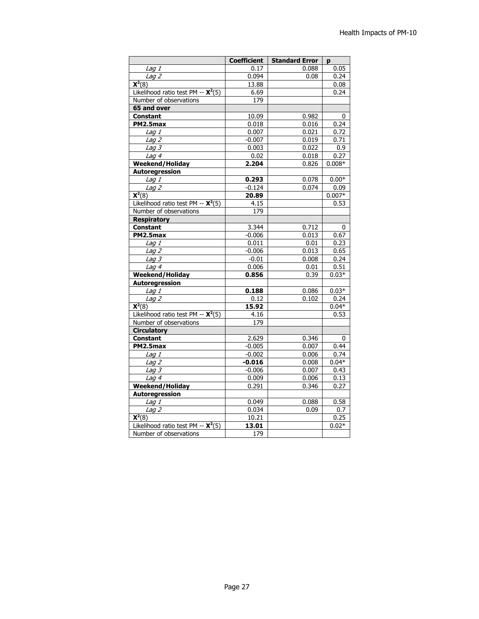|                                               | <b>Coefficient</b> | <b>Standard Error</b> | p        |
|-----------------------------------------------|--------------------|-----------------------|----------|
| Lag 1                                         | 0.17               | 0.088                 | 0.05     |
| Lag 2                                         | 0.094              | 0.08                  | 0.24     |
| $\overline{\mathsf{X}^2(8)}$                  | 13.88              |                       | 0.08     |
| Likelihood ratio test PM -- $\mathsf{X}^2(5)$ | 6.69               |                       | 0.24     |
| Number of observations                        | 179                |                       |          |
| 65 and over                                   |                    |                       |          |
| <b>Constant</b>                               | 10.09              | 0.982                 | 0        |
| PM2.5max                                      | 0.018              | 0.016                 | 0.24     |
| Lag 1                                         | 0.007              | 0.021                 | 0.72     |
| $L$ ag 2                                      | $-0.007$           | 0.019                 | 0.71     |
| Lag $3$                                       | 0.003              | 0.022                 | 0.9      |
| Lag $4$                                       | 0.02               | 0.018                 | 0.27     |
| <b>Weekend/Holiday</b>                        | 2.204              | 0.826                 | $0.008*$ |
| Autoregression                                |                    |                       |          |
| $\overline{L}$ ag 1                           | 0.293              | 0.078                 | $0.00*$  |
| Lag <sub>2</sub>                              | $-0.124$           | 0.074                 | 0.09     |
| $\overline{\mathsf{X}^2(8)}$                  | 20.89              |                       | $0.007*$ |
| Likelihood ratio test PM -- $\mathsf{X}^2(5)$ | 4.15               |                       | 0.53     |
| Number of observations                        | $\overline{179}$   |                       |          |
| <b>Respiratory</b>                            |                    |                       |          |
| <b>Constant</b>                               | 3.344              | 0.712                 | 0        |
| PM2.5max                                      | $-0.006$           | 0.013                 | 0.67     |
| Lag 1                                         | 0.011              | 0.01                  | 0.23     |
| $\overline{L}$ ag 2                           | $-0.006$           | 0.013                 | 0.65     |
| Lag $3$                                       | $-0.01$            | 0.008                 | 0.24     |
| Lag $4$                                       | 0.006              | 0.01                  | 0.51     |
| <b>Weekend/Holiday</b>                        | 0.856              | 0.39                  | $0.03*$  |
| <b>Autoregression</b>                         |                    |                       |          |
| Lag 1                                         | 0.188              | 0.086                 | $0.03*$  |
| Lag <sub>2</sub>                              | 0.12               | 0.102                 | 0.24     |
| $\overline{\mathsf{X}^2(8)}$                  | 15.92              |                       | $0.04*$  |
| Likelihood ratio test PM -- $\mathsf{X}^2(5)$ | 4.16               |                       | 0.53     |
| Number of observations                        | 179                |                       |          |
| <b>Circulatory</b>                            |                    |                       |          |
| <b>Constant</b>                               | 2.629              | 0.346                 | 0        |
| PM2.5max                                      | $-0.005$           | 0.007                 | 0.44     |
| Lag 1                                         | $-0.002$           | 0.006                 | 0.74     |
| Lag 2                                         | $-0.016$           | 0.008                 | $0.04*$  |
| Lag $3$                                       | $-0.006$           | 0.007                 | 0.43     |
| Lag 4                                         | 0.009              | 0.006                 | 0.13     |
| <b>Weekend/Holiday</b>                        | 0.291              | 0.346                 | 0.27     |
| Autoregression                                |                    |                       |          |
| Lag 1                                         | 0.049              | 0.088                 | 0.58     |
| $\overline{Lag}$ 2                            | 0.034              | 0.09                  | 0.7      |
| $X2(8)$                                       | 10.21              |                       | 0.25     |
| Likelihood ratio test PM -- $\mathsf{X}^2(5)$ | 13.01              |                       | $0.02*$  |
| Number of observations                        | $\overline{179}$   |                       |          |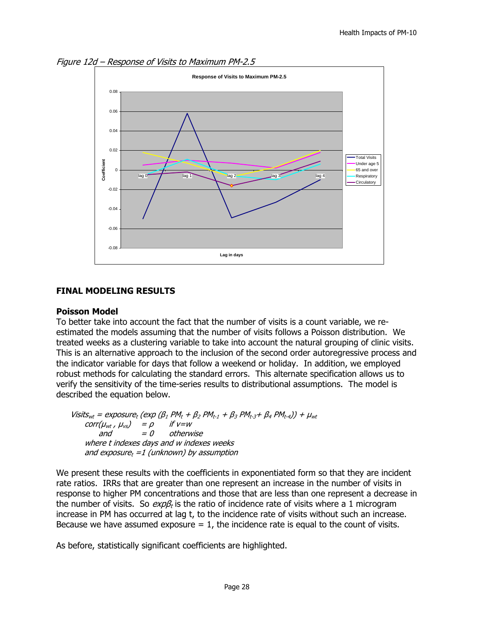



## **FINAL MODELING RESULTS**

#### **Poisson Model**

To better take into account the fact that the number of visits is a count variable, we reestimated the models assuming that the number of visits follows a Poisson distribution. We treated weeks as a clustering variable to take into account the natural grouping of clinic visits. This is an alternative approach to the inclusion of the second order autoregressive process and the indicator variable for days that follow a weekend or holiday. In addition, we employed robust methods for calculating the standard errors. This alternate specification allows us to verify the sensitivity of the time-series results to distributional assumptions. The model is described the equation below.

Visits<sub>wt</sub> = exposure<sub>t</sub> (exp ( $\beta_1$  PM<sub>t</sub> +  $\beta_2$  PM<sub>t-1</sub> +  $\beta_3$  PM<sub>t-3</sub>+  $\beta_4$  PM<sub>t-4</sub>)) +  $\mu_{wt}$  $corr(\mu_{wt}, \mu_{vs}) = \rho$  if  $v=w$ and  $= 0$  otherwise where t indexes days and w indexes weeks and exposure<sub>t</sub> =1 (unknown) by assumption

We present these results with the coefficients in exponentiated form so that they are incident rate ratios. IRRs that are greater than one represent an increase in the number of visits in response to higher PM concentrations and those that are less than one represent a decrease in the number of visits. So  $\exp B_t$  is the ratio of incidence rate of visits where a 1 microgram increase in PM has occurred at lag t, to the incidence rate of visits without such an increase. Because we have assumed exposure  $= 1$ , the incidence rate is equal to the count of visits.

As before, statistically significant coefficients are highlighted.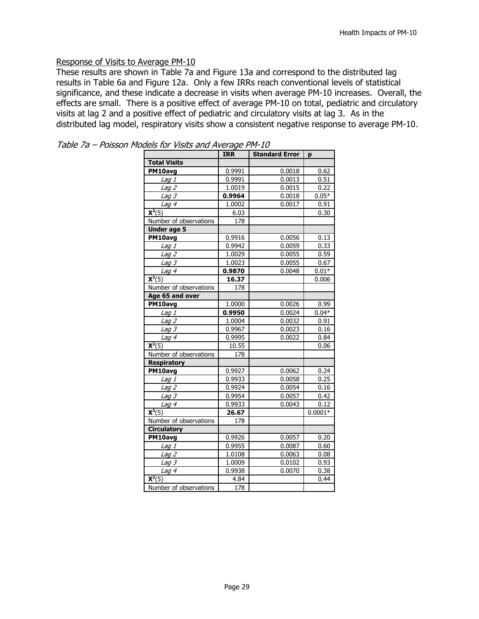#### Response of Visits to Average PM-10

These results are shown in Table 7a and Figure 13a and correspond to the distributed lag results in Table 6a and Figure 12a. Only a few IRRs reach conventional levels of statistical significance, and these indicate a decrease in visits when average PM-10 increases. Overall, the effects are small. There is a positive effect of average PM-10 on total, pediatric and circulatory visits at lag 2 and a positive effect of pediatric and circulatory visits at lag 3. As in the distributed lag model, respiratory visits show a consistent negative response to average PM-10.

|                              | ,,,,<br><b>IRR</b> | <b>Standard Error</b> | p         |
|------------------------------|--------------------|-----------------------|-----------|
| <b>Total Visits</b>          |                    |                       |           |
| PM10avg                      | 0.9991             | 0.0018                | 0.62      |
| Lag 1                        | 0.9991             | 0.0013                | 0.51      |
| Lag $2$                      | 1.0019             | 0.0015                | 0.22      |
| Lag <sub>3</sub>             | 0.9964             | 0.0018                | $0.05*$   |
| Lag 4                        | 1.0002             | 0.0017                | 0.91      |
| $\overline{\mathbf{X}^2(5)}$ | 6.03               |                       | 0.30      |
| Number of observations       | 178                |                       |           |
| <b>Under age 5</b>           |                    |                       |           |
| PM10avg                      | 0.9916             | 0.0056                | 0.13      |
| Lag 1                        | 0.9942             | 0.0059                | 0.33      |
| Lag 2                        | 1.0029             | 0.0055                | 0.59      |
| Lag 3                        | 1.0023             | 0.0055                | 0.67      |
| Lag 4                        | 0.9870             | 0.0048                | $0.01*$   |
| $\overline{\mathbf{X}^2(5)}$ | 16.37              |                       | 0.006     |
| Number of observations       | 178                |                       |           |
| Age 65 and over              |                    |                       |           |
| PM10avg                      | 1.0000             | 0.0026                | 0.99      |
| Lag 1                        | 0.9950             | 0.0024                | $0.04*$   |
| Lag <sub>2</sub>             | 1.0004             | 0.0032                | 0.91      |
| Lag <sub>3</sub>             | 0.9967             | 0.0023                | 0.16      |
| Lag <sub>4</sub>             | 0.9995             | 0.0022                | 0.84      |
| $\overline{\mathsf{X}^2(5)}$ | 10.55              |                       | 0.06      |
| Number of observations       | 178                |                       |           |
| <b>Respiratory</b>           |                    |                       |           |
| PM10avg                      | 0.9927             | 0.0062                | 0.24      |
| Lag 1                        | 0.9933             | 0.0058                | 0.25      |
| Lag 2                        | 0.9924             | 0.0054                | 0.16      |
| Lag $3$                      | 0.9954             | 0.0057                | 0.42      |
| Lag $\overline{4}$           | 0.9933             | 0.0043                | 0.12      |
| $\mathbf{X}^2(5)$            | 26.67              |                       | $0.0001*$ |
| Number of observations       | 178                |                       |           |
| <b>Circulatory</b>           |                    |                       |           |
| PM10avg                      | 0.9926             | 0.0057                | 0.20      |
| Lag 1                        | 0.9955             | 0.0087                | 0.60      |
| Lag <sub>2</sub>             | 1.0108             | 0.0063                | 0.08      |
| Lag 3                        | 1.0009             | 0.0102                | 0.93      |
| Lag 4                        | 0.9938             | 0.0070                | 0.38      |
| $\overline{\mathsf{X}^2(5)}$ | 4.84               |                       | 0.44      |
| Number of observations       | 178                |                       |           |

| Table 7a - Poisson Models for Visits and Average PM-10 |  |  |  |  |  |  |  |
|--------------------------------------------------------|--|--|--|--|--|--|--|
|--------------------------------------------------------|--|--|--|--|--|--|--|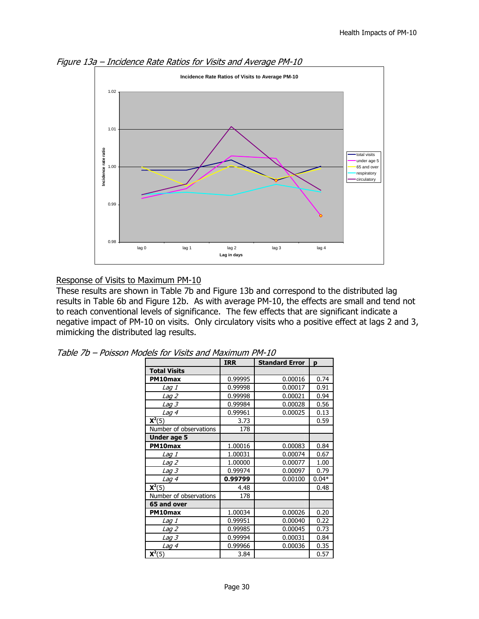



#### Response of Visits to Maximum PM-10

These results are shown in Table 7b and Figure 13b and correspond to the distributed lag results in Table 6b and Figure 12b. As with average PM-10, the effects are small and tend not to reach conventional levels of significance. The few effects that are significant indicate a negative impact of PM-10 on visits. Only circulatory visits who a positive effect at lags 2 and 3, mimicking the distributed lag results.

|                        | <b>IRR</b> | <b>Standard Error</b> | p       |
|------------------------|------------|-----------------------|---------|
| <b>Total Visits</b>    |            |                       |         |
| PM10max                | 0.99995    | 0.00016               | 0.74    |
| Lag 1                  | 0.99998    | 0.00017               | 0.91    |
| <i>Lag 2</i>           | 0.99998    | 0.00021               | 0.94    |
| <i>Lag 3</i>           | 0.99984    | 0.00028               | 0.56    |
| Lag 4                  | 0.99961    | 0.00025               | 0.13    |
| $X2(5)$                | 3.73       |                       | 0.59    |
| Number of observations | 178        |                       |         |
| Under age 5            |            |                       |         |
| PM10max                | 1.00016    | 0.00083               | 0.84    |
| Lag 1                  | 1.00031    | 0.00074               | 0.67    |
| <u>Lag 2</u>           | 1.00000    | 0.00077               | 1.00    |
| <i>Lag 3</i>           | 0.99974    | 0.00097               | 0.79    |
| Lag 4                  | 0.99799    | 0.00100               | $0.04*$ |
| $X2(5)$                | 4.48       |                       | 0.48    |
| Number of observations | 178        |                       |         |
| 65 and over            |            |                       |         |
| PM10max                | 1.00034    | 0.00026               | 0.20    |
| Lag 1                  | 0.99951    | 0.00040               | 0.22    |
| Lag 2                  | 0.99985    | 0.00045               | 0.73    |
| <i>Lag 3</i>           | 0.99994    | 0.00031               | 0.84    |
| Lag <sub>4</sub>       | 0.99966    | 0.00036               | 0.35    |
| $X2(5)$                | 3.84       |                       | 0.57    |

|  |  | Table 7b – Poisson Models for Visits and Maximum PM-10 |  |
|--|--|--------------------------------------------------------|--|
|  |  |                                                        |  |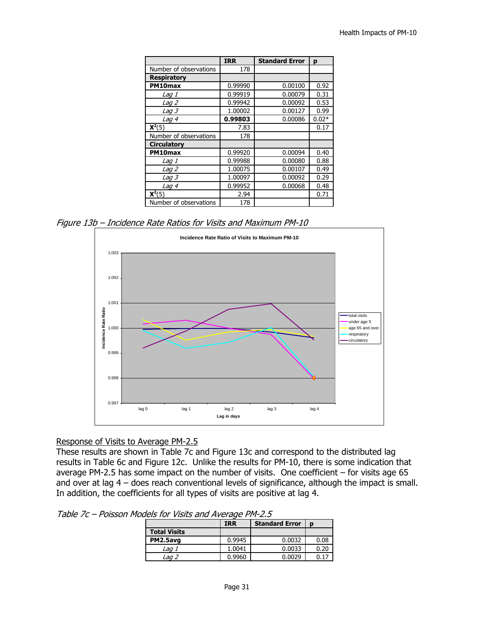|                        | <b>IRR</b> | <b>Standard Error</b> | p       |
|------------------------|------------|-----------------------|---------|
| Number of observations | 178        |                       |         |
| <b>Respiratory</b>     |            |                       |         |
| PM10max                | 0.99990    | 0.00100               | 0.92    |
| Lag 1                  | 0.99919    | 0.00079               | 0.31    |
| Lag 2                  | 0.99942    | 0.00092               | 0.53    |
| Lag 3                  | 1.00002    | 0.00127               | 0.99    |
| Lag 4                  | 0.99803    | 0.00086               | $0.02*$ |
| $X2(5)$                | 7.83       |                       | 0.17    |
| Number of observations | 178        |                       |         |
| <b>Circulatory</b>     |            |                       |         |
| PM10max                | 0.99920    | 0.00094               | 0.40    |
| <i>Lag 1</i>           | 0.99988    | 0.00080               | 0.88    |
| Lag 2                  | 1.00075    | 0.00107               | 0.49    |
| <i>Lag 3</i>           | 1.00097    | 0.00092               | 0.29    |
| Lag 4                  | 0.99952    | 0.00068               | 0.48    |
| $X2(5)$                | 2.94       |                       | 0.71    |
| Number of observations | 178        |                       |         |

Figure 13b – Incidence Rate Ratios for Visits and Maximum PM-10



#### Response of Visits to Average PM-2.5

These results are shown in Table 7c and Figure 13c and correspond to the distributed lag results in Table 6c and Figure 12c. Unlike the results for PM-10, there is some indication that average PM-2.5 has some impact on the number of visits. One coefficient – for visits age 65 and over at lag 4 – does reach conventional levels of significance, although the impact is small. In addition, the coefficients for all types of visits are positive at lag 4.

Table 7c – Poisson Models for Visits and Average PM-2.5

|                     | <b>IRR</b> | <b>Standard Error</b> | D    |
|---------------------|------------|-----------------------|------|
| <b>Total Visits</b> |            |                       |      |
| PM2.5avg            | 0.9945     | 0.0032                | 0.08 |
| Lag 1               | 1.0041     | 0.0033                | 0.20 |
| Lag 2               | 0.9960     | 0.0029                |      |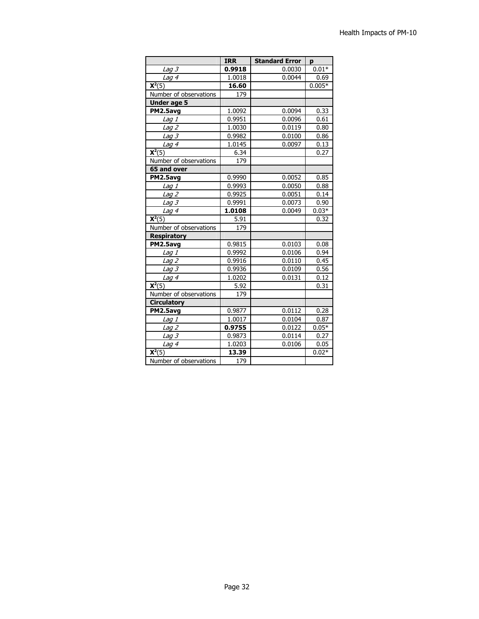|                              | <b>IRR</b> | <b>Standard Error</b> | p        |
|------------------------------|------------|-----------------------|----------|
| $L$ ag 3                     | 0.9918     | 0.0030                | $0.01*$  |
| Lag 4                        | 1.0018     | 0.0044                | 0.69     |
| $X2(5)$                      | 16.60      |                       | $0.005*$ |
| Number of observations       | 179        |                       |          |
| <b>Under age 5</b>           |            |                       |          |
| PM2.5avg                     | 1.0092     | 0.0094                | 0.33     |
| Lag 1                        | 0.9951     | 0.0096                | 0.61     |
| Lag $2$                      | 1.0030     | 0.0119                | 0.80     |
| Lag $3$                      | 0.9982     | 0.0100                | 0.86     |
| Lag 4                        | 1.0145     | 0.0097                | 0.13     |
| $X2(5)$                      | 6.34       |                       | 0.27     |
| Number of observations       | 179        |                       |          |
| 65 and over                  |            |                       |          |
| PM2.5avg                     | 0.9990     | 0.0052                | 0.85     |
| Lag 1                        | 0.9993     | 0.0050                | 0.88     |
| Lag $2$                      | 0.9925     | 0.0051                | 0.14     |
| Lag 3                        | 0.9991     | 0.0073                | 0.90     |
| Lag 4                        | 1.0108     | 0.0049                | $0.03*$  |
| $\overline{\mathsf{X}^2(5)}$ | 5.91       |                       | 0.32     |
| Number of observations       | 179        |                       |          |
| <b>Respiratory</b>           |            |                       |          |
| PM2.5avg                     | 0.9815     | 0.0103                | 0.08     |
| Lag 1                        | 0.9992     | 0.0106                | 0.94     |
| Lag <sub>2</sub>             | 0.9916     | 0.0110                | 0.45     |
| <i>Lag 3</i>                 | 0.9936     | 0.0109                | 0.56     |
| Lag 4                        | 1.0202     | 0.0131                | 0.12     |
| $\overline{\mathsf{X}^2(5)}$ | 5.92       |                       | 0.31     |
| Number of observations       | 179        |                       |          |
| <b>Circulatory</b>           |            |                       |          |
| PM2.5avg                     | 0.9877     | 0.0112                | 0.28     |
| Lag 1                        | 1.0017     | 0.0104                | 0.87     |
| Lag 2                        | 0.9755     | 0.0122                | $0.05*$  |
| $Lag$ $3$                    | 0.9873     | 0.0114                | 0.27     |
| Lag 4                        | 1.0203     | 0.0106                | 0.05     |
| $\overline{\mathbf{X}^2}(5)$ | 13.39      |                       | $0.02*$  |
| Number of observations       | 179        |                       |          |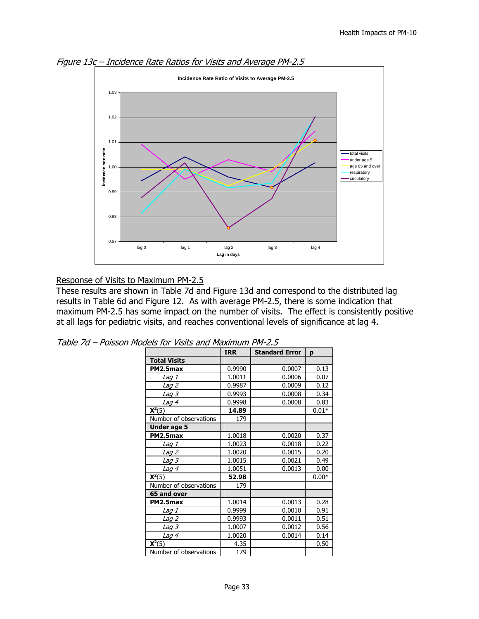

Figure 13c – Incidence Rate Ratios for Visits and Average PM-2.5

#### Response of Visits to Maximum PM-2.5

These results are shown in Table 7d and Figure 13d and correspond to the distributed lag results in Table 6d and Figure 12. As with average PM-2.5, there is some indication that maximum PM-2.5 has some impact on the number of visits. The effect is consistently positive at all lags for pediatric visits, and reaches conventional levels of significance at lag 4.

|                              | <b>IRR</b> | <b>Standard Error</b> | p       |
|------------------------------|------------|-----------------------|---------|
| <b>Total Visits</b>          |            |                       |         |
| PM2.5max                     | 0.9990     | 0.0007                | 0.13    |
| Lag 1                        | 1.0011     | 0.0006                | 0.07    |
| <i>Lag 2</i>                 | 0.9987     | 0.0009                | 0.12    |
| <i>Lag 3</i>                 | 0.9993     | 0.0008                | 0.34    |
| <u>Lag 4</u>                 | 0.9998     | 0.0008                | 0.83    |
| $X2(5)$                      | 14.89      |                       | $0.01*$ |
| Number of observations       | 179        |                       |         |
| <b>Under age 5</b>           |            |                       |         |
| PM2.5max                     | 1.0018     | 0.0020                | 0.37    |
| Lag 1                        | 1.0023     | 0.0018                | 0.22    |
| Lag 2                        | 1.0020     | 0.0015                | 0.20    |
| <i>Lag 3</i>                 | 1.0015     | 0.0021                | 0.49    |
| Lag 4                        | 1.0051     | 0.0013                | 0.00    |
| $X2(5)$                      | 52.98      |                       | $0.00*$ |
| Number of observations       | 179        |                       |         |
| 65 and over                  |            |                       |         |
| PM2.5max                     | 1.0014     | 0.0013                | 0.28    |
| <i>Laq 1</i>                 | 0.9999     | 0.0010                | 0.91    |
| Lag 2                        | 0.9993     | 0.0011                | 0.51    |
| <i>Lag 3</i>                 | 1.0007     | 0.0012                | 0.56    |
| Lag 4                        | 1.0020     | 0.0014                | 0.14    |
| $\overline{\mathbf{X}}^2(5)$ | 4.35       |                       | 0.50    |
| Number of observations       | 179        |                       |         |

|  | Table 7d – Poisson Models for Visits and Maximum PM-2.5 |  |  |
|--|---------------------------------------------------------|--|--|
|  |                                                         |  |  |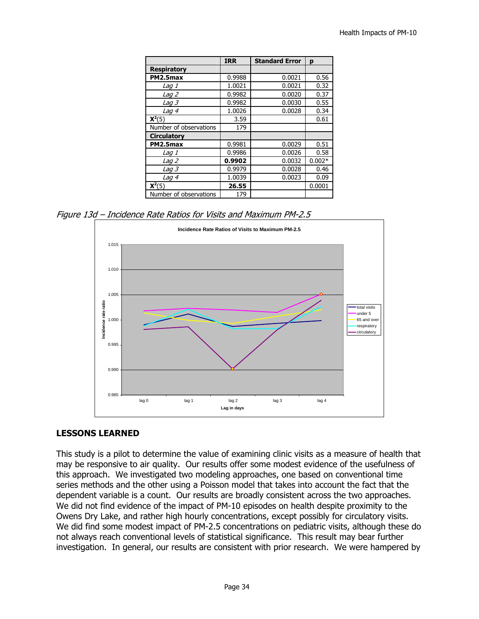|                        | <b>IRR</b> | <b>Standard Error</b> | p        |
|------------------------|------------|-----------------------|----------|
| <b>Respiratory</b>     |            |                       |          |
| PM2.5max               | 0.9988     | 0.0021                | 0.56     |
| Lag 1                  | 1.0021     | 0.0021                | 0.32     |
| Lag 2                  | 0.9982     | 0.0020                | 0.37     |
| Lag 3                  | 0.9982     | 0.0030                | 0.55     |
| Lag 4                  | 1.0026     | 0.0028                | 0.34     |
| $X2(5)$                | 3.59       |                       | 0.61     |
| Number of observations | 179        |                       |          |
| <b>Circulatory</b>     |            |                       |          |
| PM2.5max               | 0.9981     | 0.0029                | 0.51     |
| <i>Laq 1</i>           | 0.9986     | 0.0026                | 0.58     |
| Lag 2                  | 0.9902     | 0.0032                | $0.002*$ |
| <i>Laq 3</i>           | 0.9979     | 0.0028                | 0.46     |
| Lag 4                  | 1.0039     | 0.0023                | 0.09     |
| $X2(5)$                | 26.55      |                       | 0.0001   |
| Number of observations | 179        |                       |          |

Figure 13d – Incidence Rate Ratios for Visits and Maximum PM-2.5



## **LESSONS LEARNED**

This study is a pilot to determine the value of examining clinic visits as a measure of health that may be responsive to air quality. Our results offer some modest evidence of the usefulness of this approach. We investigated two modeling approaches, one based on conventional time series methods and the other using a Poisson model that takes into account the fact that the dependent variable is a count. Our results are broadly consistent across the two approaches. We did not find evidence of the impact of PM-10 episodes on health despite proximity to the Owens Dry Lake, and rather high hourly concentrations, except possibly for circulatory visits. We did find some modest impact of PM-2.5 concentrations on pediatric visits, although these do not always reach conventional levels of statistical significance. This result may bear further investigation. In general, our results are consistent with prior research. We were hampered by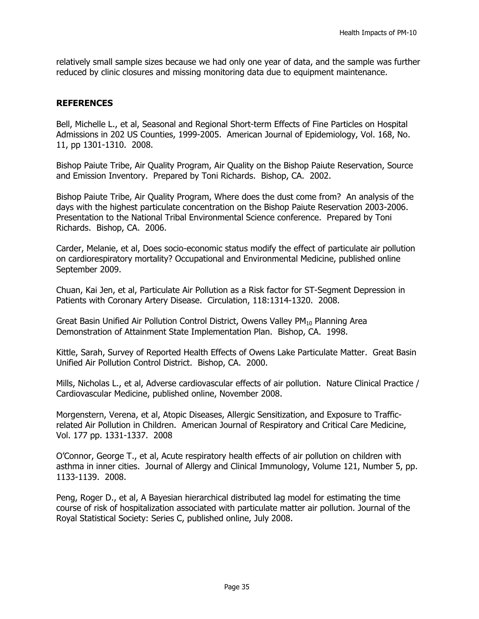relatively small sample sizes because we had only one year of data, and the sample was further reduced by clinic closures and missing monitoring data due to equipment maintenance.

#### **REFERENCES**

Bell, Michelle L., et al, Seasonal and Regional Short-term Effects of Fine Particles on Hospital Admissions in 202 US Counties, 1999-2005. American Journal of Epidemiology, Vol. 168, No. 11, pp 1301-1310. 2008.

Bishop Paiute Tribe, Air Quality Program, Air Quality on the Bishop Paiute Reservation, Source and Emission Inventory. Prepared by Toni Richards. Bishop, CA. 2002.

Bishop Paiute Tribe, Air Quality Program, Where does the dust come from? An analysis of the days with the highest particulate concentration on the Bishop Paiute Reservation 2003-2006. Presentation to the National Tribal Environmental Science conference. Prepared by Toni Richards. Bishop, CA. 2006.

Carder, Melanie, et al, Does socio-economic status modify the effect of particulate air pollution on cardiorespiratory mortality? Occupational and Environmental Medicine, published online September 2009.

Chuan, Kai Jen, et al, Particulate Air Pollution as a Risk factor for ST-Segment Depression in Patients with Coronary Artery Disease. Circulation, 118:1314-1320. 2008.

Great Basin Unified Air Pollution Control District, Owens Valley  $PM_{10}$  Planning Area Demonstration of Attainment State Implementation Plan. Bishop, CA. 1998.

Kittle, Sarah, Survey of Reported Health Effects of Owens Lake Particulate Matter. Great Basin Unified Air Pollution Control District. Bishop, CA. 2000.

Mills, Nicholas L., et al, Adverse cardiovascular effects of air pollution. Nature Clinical Practice / Cardiovascular Medicine, published online, November 2008.

Morgenstern, Verena, et al, Atopic Diseases, Allergic Sensitization, and Exposure to Trafficrelated Air Pollution in Children. American Journal of Respiratory and Critical Care Medicine, Vol. 177 pp. 1331-1337. 2008

O'Connor, George T., et al, Acute respiratory health effects of air pollution on children with asthma in inner cities. Journal of Allergy and Clinical Immunology, Volume 121, Number 5, pp. 1133-1139. 2008.

Peng, Roger D., et al, A Bayesian hierarchical distributed lag model for estimating the time course of risk of hospitalization associated with particulate matter air pollution. Journal of the Royal Statistical Society: Series C, published online, July 2008.